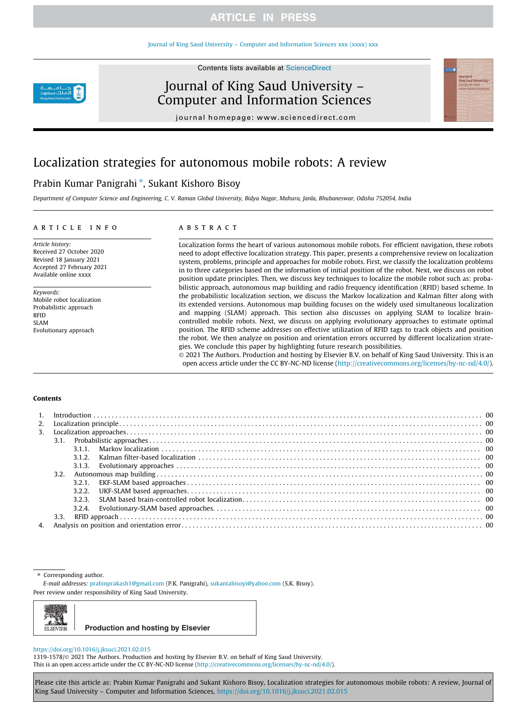### Journal of King Saud University – Computer and Information Sciences xxx (xxxx) xxx

Contents lists available at ScienceDirect



Journal of King Saud University – Computer and Information Sciences



# Localization strategies for autonomous mobile robots: A review

# Prabin Kumar Panigrahi<sup>\*</sup>, Sukant Kishoro Bisoy

*Department of Computer Science and Engineering, C. V. Raman Global University, Bidya Nagar, Mahura, Janla, Bhubaneswar, Odisha 752054, India*

### article info

*Article history:* Received 27 October 2020 Revised 18 January 2021 Accepted 27 February 2021 Available online xxxx

*Keywords:* Mobile robot localization Probabilistic approach RFID SLAM Evolutionary approach

### **ABSTRACT**

Localization forms the heart of various autonomous mobile robots. For efficient navigation, these robots need to adopt effective localization strategy. This paper, presents a comprehensive review on localization system, problems, principle and approaches for mobile robots. First, we classify the localization problems in to three categories based on the information of initial position of the robot. Next, we discuss on robot position update principles. Then, we discuss key techniques to localize the mobile robot such as: probabilistic approach, autonomous map building and radio frequency identification (RFID) based scheme. In the probabilistic localization section, we discuss the Markov localization and Kalman filter along with its extended versions. Autonomous map building focuses on the widely used simultaneous localization and mapping (SLAM) approach. This section also discusses on applying SLAM to localize braincontrolled mobile robots. Next, we discuss on applying evolutionary approaches to estimate optimal position. The RFID scheme addresses on effective utilization of RFID tags to track objects and position the robot. We then analyze on position and orientation errors occurred by different localization strategies. We conclude this paper by highlighting future research possibilities.

 2021 The Authors. Production and hosting by Elsevier B.V. on behalf of King Saud University. This is an open access article under the CC BY-NC-ND license (http://creativecommons.org/licenses/by-nc-nd/4.0/).

### Contents

| 3. |      |       |  |  |  |  |
|----|------|-------|--|--|--|--|
|    |      |       |  |  |  |  |
|    |      | 3.1.1 |  |  |  |  |
|    |      | 312   |  |  |  |  |
|    |      |       |  |  |  |  |
|    |      |       |  |  |  |  |
|    |      |       |  |  |  |  |
|    |      | 3.2.2 |  |  |  |  |
|    |      |       |  |  |  |  |
|    |      |       |  |  |  |  |
|    | 3.3. |       |  |  |  |  |
|    |      |       |  |  |  |  |

⇑ Corresponding author.

*E-mail addresses:* prabinprakash1@gmail.com (P.K. Panigrahi), sukantabisoyi@yahoo.com (S.K. Bisoy).

Peer review under responsibility of King Saud University.



**Production and hosting by Elsevier**

### https://doi.org/10.1016/j.jksuci.2021.02.015

1319-1578/ 2021 The Authors. Production and hosting by Elsevier B.V. on behalf of King Saud University. This is an open access article under the CC BY-NC-ND license (http://creativecommons.org/licenses/by-nc-nd/4.0/).

Please cite this article as: Prabin Kumar Panigrahi and Sukant Kishoro Bisoy, Localization strategies for autonomous mobile robots: A review, Journal of King Saud University – Computer and Information Sciences, https://doi.org/10.1016/j.jksuci.2021.02.015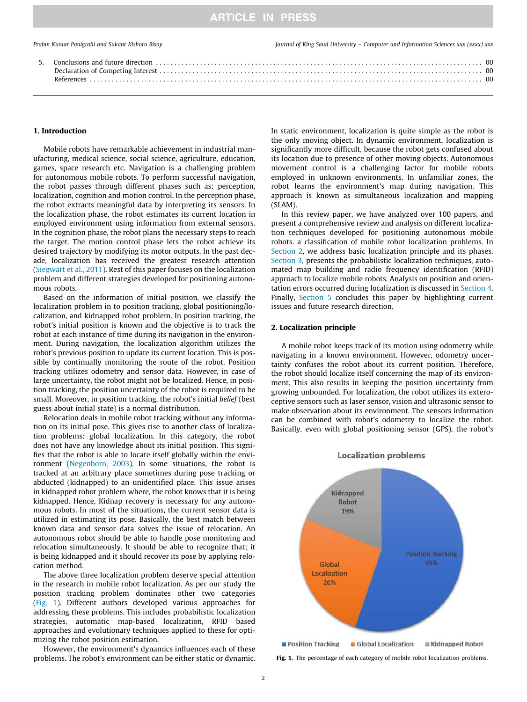### 1. Introduction

Mobile robots have remarkable achievement in industrial manufacturing, medical science, social science, agriculture, education, games, space research etc. Navigation is a challenging problem for autonomous mobile robots. To perform successful navigation, the robot passes through different phases such as: perception, localization, cognition and motion control. In the perception phase, the robot extracts meaningful data by interpreting its sensors. In the localization phase, the robot estimates its current location in employed environment using information from external sensors. In the cognition phase, the robot plans the necessary steps to reach the target. The motion control phase lets the robot achieve its desired trajectory by modifying its motor outputs. In the past decade, localization has received the greatest research attention (Siegwart et al., 2011). Rest of this paper focuses on the localization problem and different strategies developed for positioning autonomous robots.

Based on the information of initial position, we classify the localization problem in to position tracking, global positioning/localization, and kidnapped robot problem. In position tracking, the robot's initial position is known and the objective is to track the robot at each instance of time during its navigation in the environment. During navigation, the localization algorithm utilizes the robot's previous position to update its current location. This is possible by continually monitoring the route of the robot. Position tracking utilizes odometry and sensor data. However, in case of large uncertainty, the robot might not be localized. Hence, in position tracking, the position uncertainty of the robot is required to be small. Moreover, in position tracking, the robot's initial *belief* (best guess about initial state) is a normal distribution.

Relocation deals in mobile robot tracking without any information on its initial pose. This gives rise to another class of localization problems: global localization. In this category, the robot does not have any knowledge about its initial position. This signifies that the robot is able to locate itself globally within the environment (Negenborn, 2003). In some situations, the robot is tracked at an arbitrary place sometimes during pose tracking or abducted (kidnapped) to an unidentified place. This issue arises in kidnapped robot problem where, the robot knows that it is being kidnapped. Hence, Kidnap recovery is necessary for any autonomous robots. In most of the situations, the current sensor data is utilized in estimating its pose. Basically, the best match between known data and sensor data solves the issue of relocation. An autonomous robot should be able to handle pose monitoring and relocation simultaneously. It should be able to recognize that; it is being kidnapped and it should recover its pose by applying relocation method.

The above three localization problem deserve special attention in the research in mobile robot localization. As per our study the position tracking problem dominates other two categories (Fig. 1). Different authors developed various approaches for addressing these problems. This includes probabilistic localization strategies, automatic map-based localization, RFID based approaches and evolutionary techniques applied to these for optimizing the robot position estimation.

However, the environment's dynamics influences each of these problems. The robot's environment can be either static or dynamic.

In static environment, localization is quite simple as the robot is the only moving object. In dynamic environment, localization is significantly more difficult, because the robot gets confused about its location due to presence of other moving objects. Autonomous movement control is a challenging factor for mobile robots employed in unknown environments. In unfamiliar zones, the robot learns the environment's map during navigation. This approach is known as simultaneous localization and mapping (SLAM).

In this review paper, we have analyzed over 100 papers, and present a comprehensive review and analysis on different localization techniques developed for positioning autonomous mobile robots. a classification of mobile robot localization problems. In Section 2, we address basic localization principle and its phases. Section 3, presents the probabilistic localization techniques, automated map building and radio frequency identification (RFID) approach to localize mobile robots. Analysis on position and orientation errors occurred during localization is discussed in Section 4. Finally, Section 5 concludes this paper by highlighting current issues and future research direction.

### 2. Localization principle

A mobile robot keeps track of its motion using odometry while navigating in a known environment. However, odometry uncertainty confuses the robot about its current position. Therefore, the robot should localize itself concerning the map of its environment. This also results in keeping the position uncertainty from growing unbounded. For localization, the robot utilizes its exteroceptive sensors such as laser sensor, vision and ultrasonic sensor to make observation about its environment. The sensors information can be combined with robot's odometry to localize the robot. Basically, even with global positioning sensor (GPS), the robot's



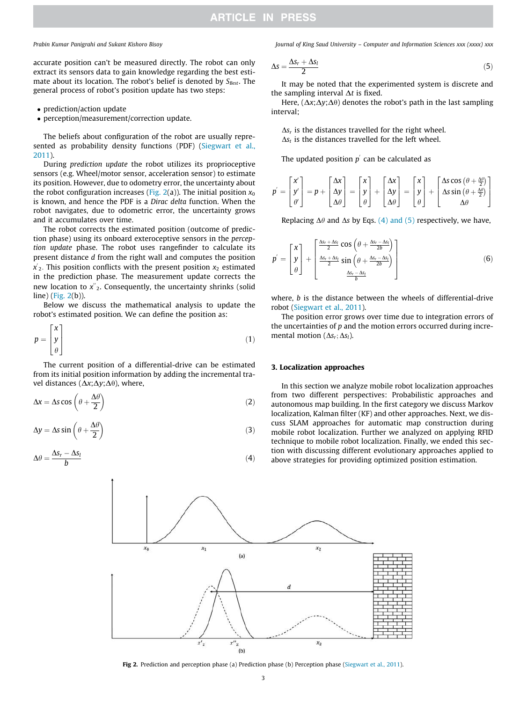accurate position can't be measured directly. The robot can only extract its sensors data to gain knowledge regarding the best estimate about its location. The robot's belief is denoted by *SBest*. The general process of robot's position update has two steps:

- prediction/action update
- perception/measurement/correction update.

The beliefs about configuration of the robot are usually represented as probability density functions (PDF) (Siegwart et al., 2011).

During *prediction update* the robot utilizes its proprioceptive sensors (e.g. Wheel/motor sensor, acceleration sensor) to estimate its position. However, due to odometry error, the uncertainty about the robot configuration increases (Fig. 2(a)). The initial position  $x_0$ is known, and hence the PDF is a *Dirac delta* function. When the robot navigates, due to odometric error, the uncertainty grows and it accumulates over time.

The robot corrects the estimated position (outcome of prediction phase) using its onboard exteroceptive sensors in the *perception update* phase. The robot uses rangefinder to calculate its present distance *d* from the right wall and computes the position *x*<sup>2</sup> This position conflicts with the present position *x*<sub>2</sub> estimated in the prediction phase. The measurement update corrects the new location to *x*″<sub>2</sub>. Consequently, the uncertainty shrinks (solid line) (Fig. 2(b)).

Below we discuss the mathematical analysis to update the robot's estimated position. We can define the position as:

$$
p = \begin{bmatrix} x \\ y \\ \theta \end{bmatrix} \tag{1}
$$

The current position of a differential-drive can be estimated from its initial position information by adding the incremental travel distances ( $\Delta x$ ; $\Delta y$ ; $\Delta \theta$ ), where,

$$
\Delta x = \Delta s \cos \left(\theta + \frac{\Delta \theta}{2}\right) \tag{2}
$$

$$
\Delta y = \Delta s \sin \left( \theta + \frac{\Delta \theta}{2} \right) \tag{3}
$$

$$
\Delta \theta = \frac{\Delta s_r - \Delta s_l}{b} \tag{4}
$$

*Prabin Kumar Panigrahi and Sukant Kishoro Bisoy Journal of King Saud University – Computer and Information Sciences xxx (xxxx) xxx*

$$
\Delta s = \frac{\Delta s_r + \Delta s_l}{2} \tag{5}
$$

It may be noted that the experimented system is discrete and the sampling interval  $\Delta t$  is fixed.

Here,  $(\Delta x; \Delta y; \Delta \theta)$  denotes the robot's path in the last sampling interval;

 $\Delta s$ <sup>r</sup> is the distances travelled for the right wheel.  $\Delta s_t$  is the distances travelled for the left wheel.

The updated position  $p'$  can be calculated as

$$
p' = \begin{bmatrix} x' \\ y' \\ \theta' \end{bmatrix} = p + \begin{bmatrix} \Delta x \\ \Delta y \\ \Delta \theta \end{bmatrix} = \begin{bmatrix} x \\ y \\ \theta \end{bmatrix} + \begin{bmatrix} \Delta x \\ \Delta y \\ \Delta \theta \end{bmatrix} = \begin{bmatrix} x \\ y \\ \theta \end{bmatrix} + \begin{bmatrix} \Delta s \cos(\theta + \frac{\Delta \theta}{2}) \\ \Delta s \sin(\theta + \frac{\Delta \theta}{2}) \\ \Delta \theta \end{bmatrix}
$$

Replacing  $\Delta\theta$  and  $\Delta s$  by Eqs. (4) and (5) respectively, we have,

$$
p' = \begin{bmatrix} x \\ y \\ \theta \end{bmatrix} + \begin{bmatrix} \frac{\Delta s_r + \Delta s_l}{2} \cos \left( \theta + \frac{\Delta s_r - \Delta s_l}{2b} \right) \\ \frac{\Delta s_r + \Delta s_l}{2} \sin \left( \theta + \frac{\Delta s_r - \Delta s_l}{2b} \right) \\ \frac{\Delta s_r - \Delta s_l}{b} \end{bmatrix}
$$
(6)

where, *b* is the distance between the wheels of differential-drive robot (Siegwart et al., 2011).

The position error grows over time due to integration errors of the uncertainties of *p* and the motion errors occurred during incremental motion ( $\Delta s_r$ ;  $\Delta s_l$ ).

### 3. Localization approaches

In this section we analyze mobile robot localization approaches from two different perspectives: Probabilistic approaches and autonomous map building. In the first category we discuss Markov localization, Kalman filter (KF) and other approaches. Next, we discuss SLAM approaches for automatic map construction during mobile robot localization. Further we analyzed on applying RFID technique to mobile robot localization. Finally, we ended this section with discussing different evolutionary approaches applied to above strategies for providing optimized position estimation.



Fig 2. Prediction and perception phase (a) Prediction phase (b) Perception phase (Siegwart et al., 2011).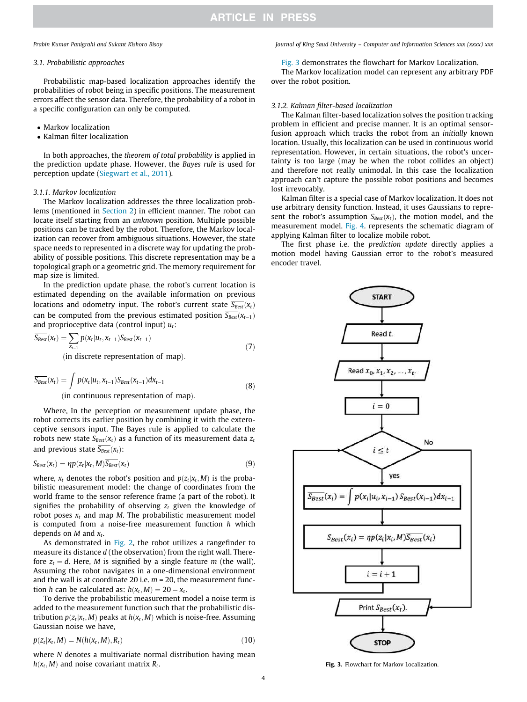### *3.1. Probabilistic approaches*

Probabilistic map-based localization approaches identify the probabilities of robot being in specific positions. The measurement errors affect the sensor data. Therefore, the probability of a robot in a specific configuration can only be computed.

- Markov localization
- Kalman filter localization

In both approaches, the *theorem of total probability* is applied in the prediction update phase. However, the *Bayes rule* is used for perception update (Siegwart et al., 2011).

### *3.1.1. Markov localization*

The Markov localization addresses the three localization problems (mentioned in Section 2) in efficient manner. The robot can locate itself starting from an *unknown* position. Multiple possible positions can be tracked by the robot. Therefore, the Markov localization can recover from ambiguous situations. However, the state space needs to represented in a discrete way for updating the probability of possible positions. This discrete representation may be a topological graph or a geometric grid. The memory requirement for map size is limited.

In the prediction update phase, the robot's current location is estimated depending on the available information on previous locations and odometry input. The robot's current state  $\overline{S_{\text{Best}}}(x_t)$ can be computed from the previous estimated position  $\overline{S_{\text{Best}}}(x_{t-1})$ and proprioceptive data (control input) *ut*:

$$
\overline{S_{Best}}(x_t) = \sum_{x_{t-1}} p(x_t | u_t, x_{t-1}) S_{Best}(x_{t-1})
$$
\n(in discrete representation of man) (7)

 $(in$  discrete representation of map).

$$
\overline{S_{\text{Best}}}(x_t) = \int p(x_t|u_t, x_{t-1}) S_{\text{Best}}(x_{t-1}) dx_{t-1}
$$
\n(8)

 $(in$  continuous representation of map).

Where, In the perception or measurement update phase, the robot corrects its earlier position by combining it with the exteroceptive sensors input. The Bayes rule is applied to calculate the robots new state  $S_{\text{Best}}(x_t)$  as a function of its measurement data  $z_t$ and previous state  $\overline{S_{Best}}(x_t)$ :

$$
S_{\text{Best}}(x_t) = \eta p(z_t | x_t, M) \overline{S_{\text{Best}}}(x_t)
$$
\n(9)

where,  $x_t$  denotes the robot's position and  $p(z_t|x_t, M)$  is the probabilistic measurement model: the change of coordinates from the world frame to the sensor reference frame (a part of the robot). It signifies the probability of observing  $z_t$  given the knowledge of robot poses  $x_t$  and map *M*. The probabilistic measurement model is computed from a noise-free measurement function *h* which depends on *M* and *x<sup>t</sup>* .

As demonstrated in Fig. 2, the robot utilizes a rangefinder to measure its distance *d* (the observation) from the right wall. Therefore  $z_t = d$ . Here, *M* is signified by a single feature *m* (the wall). Assuming the robot navigates in a one-dimensional environment and the wall is at coordinate 20 i.e. *m* = 20, the measurement function *h* can be calculated as:  $h(x_t, M) = 20 - x_t$ .

To derive the probabilistic measurement model a noise term is added to the measurement function such that the probabilistic distribution  $p(z_t|x_t, M)$  peaks at  $h(x_t, M)$  which is noise-free. Assuming Gaussian noise we have,

$$
p(z_t | x_t, M) = N(h(x_t, M), R_t)
$$
\n(10)

where *N* denotes a multivariate normal distribution having mean  $h(x_t, M)$  and noise covariant matrix  $R_t$ .

### *Prabin Kumar Panigrahi and Sukant Kishoro Bisoy Journal of King Saud University – Computer and Information Sciences xxx (xxxx) xxx*

Fig. 3 demonstrates the flowchart for Markov Localization.

The Markov localization model can represent any arbitrary PDF over the robot position.

### *3.1.2. Kalman filter-based localization*

The Kalman filter-based localization solves the position tracking problem in efficient and precise manner. It is an optimal sensorfusion approach which tracks the robot from an *initially* known location. Usually, this localization can be used in continuous world representation. However, in certain situations, the robot's uncertainty is too large (may be when the robot collides an object) and therefore not really unimodal. In this case the localization approach can't capture the possible robot positions and becomes lost irrevocably.

Kalman filter is a special case of Markov localization. It does not use arbitrary density function. Instead, it uses Gaussians to represent the robot's assumption  $S_{Best}(x_t)$ , the motion model, and the measurement model. Fig. 4. represents the schematic diagram of applying Kalman filter to localize mobile robot.

The first phase i.e. the *prediction update* directly applies a motion model having Gaussian error to the robot's measured encoder travel.



Fig. 3. Flowchart for Markov Localization.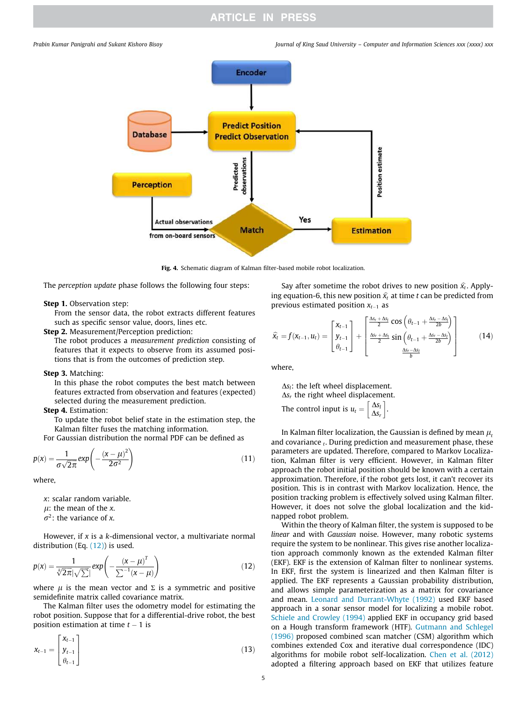

Fig. 4. Schematic diagram of Kalman filter-based mobile robot localization.

The *perception update* phase follows the following four steps:

### Step 1. Observation step:

From the sensor data, the robot extracts different features such as specific sensor value, doors, lines etc.

Step 2. Measurement/Perception prediction:

The robot produces a *measurement prediction* consisting of features that it expects to observe from its assumed positions that is from the outcomes of prediction step.

### Step 3. Matching:

In this phase the robot computes the best match between features extracted from observation and features (expected) selected during the measurement prediction.

### Step 4. Estimation:

To update the robot belief state in the estimation step, the Kalman filter fuses the matching information.

For Gaussian distribution the normal PDF can be defined as

$$
p(x) = \frac{1}{\sigma\sqrt{2\pi}}exp\left(-\frac{(x-\mu)^2}{2\sigma^2}\right)
$$
 (11)

where,

- *x*: scalar random variable.
- $\mu$ : the mean of the  $x$ .
- $\sigma^2$ : the variance of *x*.

However, if *x* is a *k*-dimensional vector, a multivariate normal distribution (Eq. (12)) is used.

$$
p(x) = \frac{1}{\sqrt[3]{2\pi}|\sqrt{\sum}} \exp\left(-\frac{(x-\mu)^T}{\sum^{-1}(x-\mu)}\right)
$$
(12)

where  $\mu$  is the mean vector and  $\Sigma$  is a symmetric and positive semidefinite matrix called covariance matrix.

The Kalman filter uses the odometry model for estimating the robot position. Suppose that for a differential-drive robot, the best position estimation at time  $t - 1$  is

$$
\mathbf{x}_{t-1} = \begin{bmatrix} \mathbf{x}_{t-1} \\ \mathbf{y}_{t-1} \\ \theta_{t-1} \end{bmatrix} \tag{13}
$$

Say after sometime the robot drives to new position  $\hat{x}_t$ . Applying equation-6, this new position  $\hat{x}_t$  at time *t* can be predicted from previous estimated position  $x_{t-1}$  as

$$
\widehat{x}_t = f(x_{t-1}, u_t) = \begin{bmatrix} x_{t-1} \\ y_{t-1} \\ \theta_{t-1} \end{bmatrix} + \begin{bmatrix} \frac{\Delta s_r + \Delta s_l}{2} \cos \left( \theta_{t-1} + \frac{\Delta s_r - \Delta s_l}{2b} \right) \\ \frac{\Delta s_r + \Delta s_l}{2} \sin \left( \theta_{t-1} + \frac{\Delta s_r - \Delta s_l}{2b} \right) \\ \frac{\Delta s_r - \Delta s_l}{b} \end{bmatrix}
$$
(14)

where,

 $\Delta s$ <sup>2</sup>: the left wheel displacement.  $\Delta s_r$  the right wheel displacement. The control input is  $u_t = \begin{bmatrix} \Delta s_t \\ \Delta s_t \end{bmatrix}$  $\Delta s_i$  $\left[\frac{\Delta s_l}{4c}\right]$ .

In Kalman filter localization, the Gaussian is defined by mean  $\mu_t$ and covariance *<sup>t</sup>* . During prediction and measurement phase, these parameters are updated. Therefore, compared to Markov Localization, Kalman filter is very efficient. However, in Kalman filter approach the robot initial position should be known with a certain approximation. Therefore, if the robot gets lost, it can't recover its position. This is in contrast with Markov localization. Hence, the position tracking problem is effectively solved using Kalman filter. However, it does not solve the global localization and the kidnapped robot problem.

Within the theory of Kalman filter, the system is supposed to be *linear* and with *Gaussian* noise. However, many robotic systems require the system to be nonlinear. This gives rise another localization approach commonly known as the extended Kalman filter (EKF). EKF is the extension of Kalman filter to nonlinear systems. In EKF, first the system is linearized and then Kalman filter is applied. The EKF represents a Gaussian probability distribution, and allows simple parameterization as a matrix for covariance and mean. Leonard and Durrant-Whyte (1992) used EKF based approach in a sonar sensor model for localizing a mobile robot. Schiele and Crowley (1994) applied EKF in occupancy grid based on a Hough transform framework (HTF). Gutmann and Schlegel (1996) proposed combined scan matcher (CSM) algorithm which combines extended Cox and iterative dual correspondence (IDC) algorithms for mobile robot self-localization. Chen et al. (2012) adopted a filtering approach based on EKF that utilizes feature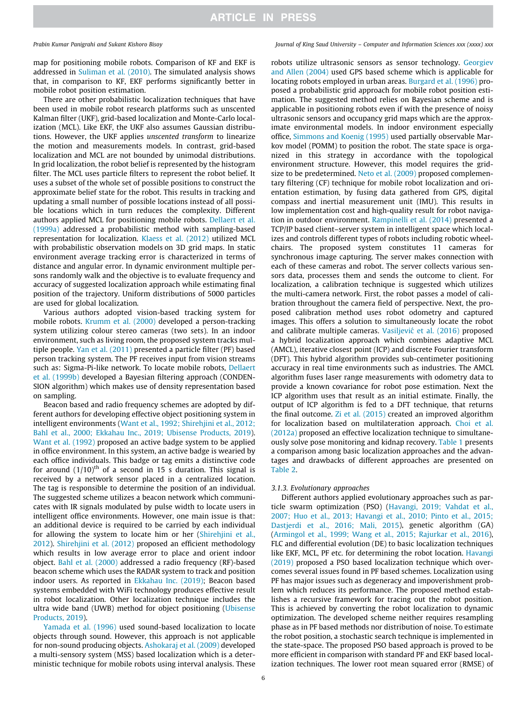map for positioning mobile robots. Comparison of KF and EKF is addressed in Suliman et al. (2010). The simulated analysis shows that, in comparison to KF, EKF performs significantly better in mobile robot position estimation.

There are other probabilistic localization techniques that have been used in mobile robot research platforms such as unscented Kalman filter (UKF), grid-based localization and Monte-Carlo localization (MCL). Like EKF, the UKF also assumes Gaussian distributions. However, the UKF applies *unscented transform* to linearize the motion and measurements models*.* In contrast, grid-based localization and MCL are not bounded by unimodal distributions. In grid localization, the robot belief is represented by the histogram filter. The MCL uses particle filters to represent the robot belief. It uses a subset of the whole set of possible positions to construct the approximate belief state for the robot. This results in tracking and updating a small number of possible locations instead of all possible locations which in turn reduces the complexity. Different authors applied MCL for positioning mobile robots. Dellaert et al. (1999a) addressed a probabilistic method with sampling-based representation for localization. Klaess et al. (2012) utilized MCL with probabilistic observation models on 3D grid maps. In static environment average tracking error is characterized in terms of distance and angular error. In dynamic environment multiple persons randomly walk and the objective is to evaluate frequency and accuracy of suggested localization approach while estimating final position of the trajectory. Uniform distributions of 5000 particles are used for global localization.

Various authors adopted vision-based tracking system for mobile robots. Krumm et al. (2000) developed a person-tracking system utilizing colour stereo cameras (two sets). In an indoor environment, such as living room, the proposed system tracks multiple people. Yan et al. (2011) presented a particle filter (PF) based person tracking system. The PF receives input from vision streams such as: Sigma-Pi-like network. To locate mobile robots, Dellaert et al. (1999b) developed a Bayesian filtering approach (CONDEN-SION algorithm) which makes use of density representation based on sampling.

Beacon based and radio frequency schemes are adopted by different authors for developing effective object positioning system in intelligent environments (Want et al., 1992; Shirehjini et al., 2012; Bahl et al., 2000; Ekkahau Inc., 2019; Ubisense Products, 2019). Want et al. (1992) proposed an active badge system to be applied in office environment. In this system, an active badge is wearied by each office individuals. This badge or tag emits a distinctive code for around  $(1/10)^{th}$  of a second in 15 s duration. This signal is received by a network sensor placed in a centralized location. The tag is responsible to determine the position of an individual. The suggested scheme utilizes a beacon network which communicates with IR signals modulated by pulse width to locate users in intelligent office environments. However, one main issue is that: an additional device is required to be carried by each individual for allowing the system to locate him or her (Shirehjini et al., 2012). Shirehjini et al. (2012) proposed an efficient methodology which results in low average error to place and orient indoor object. Bahl et al. (2000) addressed a radio frequency (RF)-based beacon scheme which uses the RADAR system to track and position indoor users. As reported in Ekkahau Inc. (2019); Beacon based systems embedded with WiFi technology produces effective result in robot localization. Other localization technique includes the ultra wide band (UWB) method for object positioning (Ubisense Products, 2019).

Yamada et al. (1996) used sound-based localization to locate objects through sound. However, this approach is not applicable for non-sound producing objects. Ashokaraj et al. (2009) developed a multi-sensory system (MSS) based localization which is a deterministic technique for mobile robots using interval analysis. These

*Prabin Kumar Panigrahi and Sukant Kishoro Bisoy Journal of King Saud University – Computer and Information Sciences xxx (xxxx) xxx*

robots utilize ultrasonic sensors as sensor technology. Georgiev and Allen (2004) used GPS based scheme which is applicable for locating robots employed in urban areas. Burgard et al. (1996) proposed a probabilistic grid approach for mobile robot position estimation. The suggested method relies on Bayesian scheme and is applicable in positioning robots even if with the presence of noisy ultrasonic sensors and occupancy grid maps which are the approximate environmental models. In indoor environment especially office, Simmons and Koenig (1995) used partially observable Markov model (POMM) to position the robot. The state space is organized in this strategy in accordance with the topological environment structure. However, this model requires the gridsize to be predetermined. Neto et al. (2009) proposed complementary filtering (CF) technique for mobile robot localization and orientation estimation, by fusing data gathered from GPS, digital compass and inertial measurement unit (IMU). This results in low implementation cost and high-quality result for robot navigation in outdoor environment. Rampinelli et al. (2014) presented a TCP/IP based client–server system in intelligent space which localizes and controls different types of robots including robotic wheelchairs. The proposed system constitutes 11 cameras for synchronous image capturing. The server makes connection with each of these cameras and robot. The server collects various sensors data, processes them and sends the outcome to client. For localization, a calibration technique is suggested which utilizes the multi-camera network. First, the robot passes a model of calibration throughout the camera field of perspective. Next, the proposed calibration method uses robot odometry and captured images. This offers a solution to simultaneously locate the robot and calibrate multiple cameras. Vasiljević et al. (2016) proposed a hybrid localization approach which combines adaptive MCL (AMCL), iterative closest point (ICP) and discrete Fourier transform (DFT). This hybrid algorithm provides sub-centimeter positioning accuracy in real time environments such as industries. The AMCL algorithm fuses laser range measurements with odometry data to provide a known covariance for robot pose estimation. Next the ICP algorithm uses that result as an initial estimate. Finally, the output of ICP algorithm is fed to a DFT technique, that returns the final outcome. Zi et al. (2015) created an improved algorithm for localization based on multilateration approach. Choi et al. (2012a) proposed an effective localization technique to simultaneously solve pose monitoring and kidnap recovery. Table 1 presents a comparison among basic localization approaches and the advantages and drawbacks of different approaches are presented on Table 2.

### *3.1.3. Evolutionary approaches*

Different authors applied evolutionary approaches such as particle swarm optimization (PSO) (Havangi, 2019; Vahdat et al., 2007; Huo et al., 2013; Havangi et al., 2010; Pinto et al., 2015; Dastjerdi et al., 2016; Mali, 2015), genetic algorithm (GA) (Armingol et al., 1999; Wang et al., 2015; Rajurkar et al., 2016), FLC and differential evolution (DE) to basic localization techniques like EKF, MCL, PF etc. for determining the robot location. Havangi (2019) proposed a PSO based localization technique which overcomes several issues found in PF based schemes. Localization using PF has major issues such as degeneracy and impoverishment problem which reduces its performance. The proposed method establishes a recursive framework for tracing out the robot position. This is achieved by converting the robot localization to dynamic optimization. The developed scheme neither requires resampling phase as in PF based methods nor distribution of noise. To estimate the robot position, a stochastic search technique is implemented in the state-space. The proposed PSO based approach is proved to be more efficient in comparison with standard PF and EKF based localization techniques. The lower root mean squared error (RMSE) of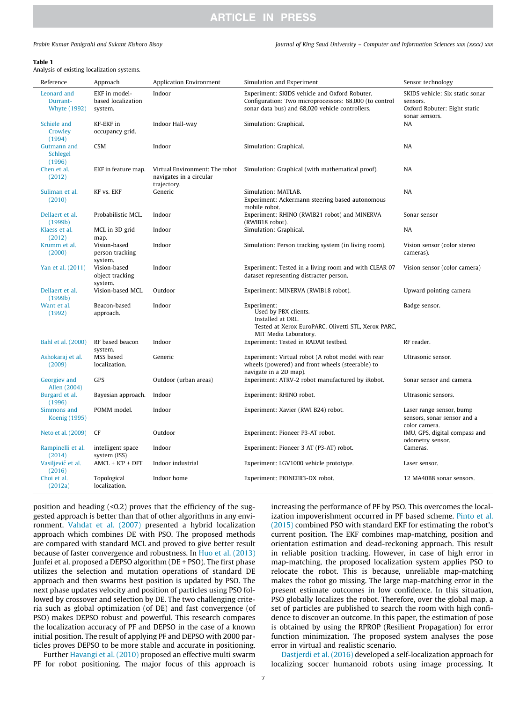### Table 1

Analysis of existing localization systems.

| Reference                                      | Approach                                       | <b>Application Environment</b>                                           | Simulation and Experiment                                                                                                                                  | Sensor technology                                                                             |
|------------------------------------------------|------------------------------------------------|--------------------------------------------------------------------------|------------------------------------------------------------------------------------------------------------------------------------------------------------|-----------------------------------------------------------------------------------------------|
| Leonard and<br>Durrant-<br><b>Whyte (1992)</b> | EKF in model-<br>based localization<br>system. | Indoor                                                                   | Experiment: SKIDS vehicle and Oxford Robuter.<br>Configuration: Two microprocessors: 68,000 (to control<br>sonar data bus) and 68,020 vehicle controllers. | SKIDS vehicle: Six static sonar<br>sensors.<br>Oxford Robuter: Eight static<br>sonar sensors. |
| Schiele and<br>Crowley<br>(1994)               | KF-EKF in<br>occupancy grid.                   | Indoor Hall-way                                                          | Simulation: Graphical.                                                                                                                                     | NA                                                                                            |
| Gutmann and<br>Schlegel<br>(1996)              | <b>CSM</b>                                     | Indoor                                                                   | Simulation: Graphical.                                                                                                                                     | <b>NA</b>                                                                                     |
| Chen et al.<br>(2012)                          | EKF in feature map.                            | Virtual Environment: The robot<br>navigates in a circular<br>trajectory. | Simulation: Graphical (with mathematical proof).                                                                                                           | <b>NA</b>                                                                                     |
| Suliman et al.<br>(2010)                       | KF vs. EKF                                     | Generic                                                                  | Simulation: MATLAB.<br>Experiment: Ackermann steering based autonomous<br>mobile robot.                                                                    | <b>NA</b>                                                                                     |
| Dellaert et al.<br>(1999b)                     | Probabilistic MCL.                             | Indoor                                                                   | Experiment: RHINO (RWIB21 robot) and MINERVA<br>(RWIB18 robot).                                                                                            | Sonar sensor                                                                                  |
| Klaess et al.<br>(2012)                        | MCL in 3D grid<br>map.                         | Indoor                                                                   | Simulation: Graphical.                                                                                                                                     | <b>NA</b>                                                                                     |
| Krumm et al.<br>(2000)                         | Vision-based<br>person tracking<br>system.     | Indoor                                                                   | Simulation: Person tracking system (in living room).                                                                                                       | Vision sensor (color stereo<br>cameras).                                                      |
| Yan et al. (2011)                              | Vision-based<br>object tracking<br>system.     | Indoor                                                                   | Experiment: Tested in a living room and with CLEAR 07<br>dataset representing distracter person.                                                           | Vision sensor (color camera)                                                                  |
| Dellaert et al.<br>(1999b)                     | Vision-based MCL.                              | Outdoor                                                                  | Experiment: MINERVA (RWIB18 robot).                                                                                                                        | Upward pointing camera                                                                        |
| Want et al.<br>(1992)                          | Beacon-based<br>approach.                      | Indoor                                                                   | Experiment:<br>Used by PBX clients.<br>Installed at ORL.<br>Tested at Xerox EuroPARC, Olivetti STL, Xerox PARC,<br>MIT Media Laboratory.                   | Badge sensor.                                                                                 |
| Bahl et al. (2000)                             | RF based beacon<br>system.                     | Indoor                                                                   | Experiment: Tested in RADAR testbed.                                                                                                                       | RF reader.                                                                                    |
| Ashokaraj et al.<br>(2009)                     | MSS based<br>localization.                     | Generic                                                                  | Experiment: Virtual robot (A robot model with rear<br>wheels (powered) and front wheels (steerable) to<br>navigate in a 2D map).                           | Ultrasonic sensor.                                                                            |
| Georgiev and<br>Allen (2004)                   | GPS                                            | Outdoor (urban areas)                                                    | Experiment: ATRV-2 robot manufactured by iRobot.                                                                                                           | Sonar sensor and camera.                                                                      |
| Burgard et al.<br>(1996)                       | Bayesian approach.                             | Indoor                                                                   | Experiment: RHINO robot.                                                                                                                                   | Ultrasonic sensors.                                                                           |
| Simmons and<br>Koenig (1995)                   | POMM model.                                    | Indoor                                                                   | Experiment: Xavier (RWI B24) robot.                                                                                                                        | Laser range sensor, bump<br>sensors, sonar sensor and a<br>color camera.                      |
| Neto et al. (2009)                             | CF                                             | Outdoor                                                                  | Experiment: Pioneer P3-AT robot.                                                                                                                           | IMU, GPS, digital compass and<br>odometry sensor.                                             |
| Rampinelli et al.<br>(2014)                    | intelligent space<br>system (ISS)              | Indoor                                                                   | Experiment: Pioneer 3 AT (P3-AT) robot.                                                                                                                    | Cameras.                                                                                      |
| Vasiljević et al.<br>(2016)                    | $AMCL + ICP + DFT$                             | Indoor industrial                                                        | Experiment: LGV1000 vehicle prototype.                                                                                                                     | Laser sensor.                                                                                 |
| Choi et al.<br>(2012a)                         | Topological<br>localization.                   | Indoor home                                                              | Experiment: PIONEER3-DX robot.                                                                                                                             | 12 MA40B8 sonar sensors.                                                                      |

position and heading (<0.2) proves that the efficiency of the suggested approach is better than that of other algorithms in any environment. Vahdat et al. (2007) presented a hybrid localization approach which combines DE with PSO. The proposed methods are compared with standard MCL and proved to give better result because of faster convergence and robustness. In Huo et al. (2013) Junfei et al. proposed a DEPSO algorithm (DE + PSO). The first phase utilizes the selection and mutation operations of standard DE approach and then swarms best position is updated by PSO. The next phase updates velocity and position of particles using PSO followed by crossover and selection by DE. The two challenging criteria such as global optimization (of DE) and fast convergence (of PSO) makes DEPSO robust and powerful. This research compares the localization accuracy of PF and DEPSO in the case of a known initial position. The result of applying PF and DEPSO with 2000 particles proves DEPSO to be more stable and accurate in positioning.

Further Havangi et al. (2010) proposed an effective multi swarm PF for robot positioning. The major focus of this approach is increasing the performance of PF by PSO. This overcomes the localization impoverishment occurred in PF based scheme. Pinto et al. (2015) combined PSO with standard EKF for estimating the robot's current position. The EKF combines map-matching, position and orientation estimation and dead-reckoning approach. This result in reliable position tracking. However, in case of high error in map-matching, the proposed localization system applies PSO to relocate the robot. This is because, unreliable map-matching makes the robot go missing. The large map-matching error in the present estimate outcomes in low confidence. In this situation, PSO globally localizes the robot. Therefore, over the global map, a set of particles are published to search the room with high confidence to discover an outcome. In this paper, the estimation of pose is obtained by using the RPROP (Resilient Propagation) for error function minimization. The proposed system analyses the pose error in virtual and realistic scenario.

Dastjerdi et al. (2016) developed a self-localization approach for localizing soccer humanoid robots using image processing. It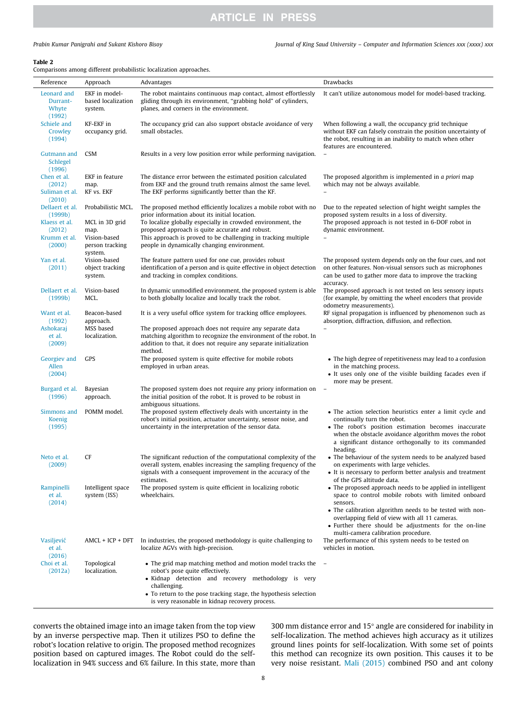*Prabin Kumar Panigrahi and Sukant Kishoro Bisoy Journal of King Saud University – Computer and Information Sciences xxx (xxxx) xxx*

### Table 2

Comparisons among different probabilistic localization approaches.

| Reference                                  | Approach                                       | Advantages                                                                                                                                                                                                                                                                                 | <b>Drawbacks</b>                                                                                                                                                                                                                                                                                                                            |
|--------------------------------------------|------------------------------------------------|--------------------------------------------------------------------------------------------------------------------------------------------------------------------------------------------------------------------------------------------------------------------------------------------|---------------------------------------------------------------------------------------------------------------------------------------------------------------------------------------------------------------------------------------------------------------------------------------------------------------------------------------------|
| Leonard and<br>Durrant-<br>Whyte<br>(1992) | EKF in model-<br>based localization<br>system. | The robot maintains continuous map contact, almost effortlessly<br>gliding through its environment, "grabbing hold" of cylinders,<br>planes, and corners in the environment.                                                                                                               | It can't utilize autonomous model for model-based tracking.                                                                                                                                                                                                                                                                                 |
| Schiele and<br>Crowley<br>(1994)           | KF-EKF in<br>occupancy grid.                   | The occupancy grid can also support obstacle avoidance of very<br>small obstacles.                                                                                                                                                                                                         | When following a wall, the occupancy grid technique<br>without EKF can falsely constrain the position uncertainty of<br>the robot, resulting in an inability to match when other<br>features are encountered.                                                                                                                               |
| Gutmann and<br>Schlegel<br>(1996)          | <b>CSM</b>                                     | Results in a very low position error while performing navigation.                                                                                                                                                                                                                          |                                                                                                                                                                                                                                                                                                                                             |
| Chen et al.<br>(2012)<br>Suliman et al.    | EKF in feature<br>map.<br>KF vs. EKF           | The distance error between the estimated position calculated<br>from EKF and the ground truth remains almost the same level.<br>The EKF performs significantly better than the KF.                                                                                                         | The proposed algorithm is implemented in a priori map<br>which may not be always available.                                                                                                                                                                                                                                                 |
| (2010)<br>Dellaert et al.<br>(1999b)       | Probabilistic MCL.                             | The proposed method efficiently localizes a mobile robot with no<br>prior information about its initial location.                                                                                                                                                                          | Due to the repeated selection of hight weight samples the<br>proposed system results in a loss of diversity.                                                                                                                                                                                                                                |
| Klaess et al.<br>(2012)<br>Krumm et al.    | MCL in 3D grid<br>map.<br>Vision-based         | To localize globally especially in crowded environment, the<br>proposed approach is quite accurate and robust.<br>This approach is proved to be challenging in tracking multiple                                                                                                           | The proposed approach is not tested in 6-DOF robot in<br>dynamic environment.<br>$\equiv$                                                                                                                                                                                                                                                   |
| (2000)<br>Yan et al.                       | person tracking<br>system.<br>Vision-based     | people in dynamically changing environment.<br>The feature pattern used for one cue, provides robust                                                                                                                                                                                       | The proposed system depends only on the four cues, and not                                                                                                                                                                                                                                                                                  |
| (2011)                                     | object tracking<br>system.                     | identification of a person and is quite effective in object detection<br>and tracking in complex conditions.                                                                                                                                                                               | on other features. Non-visual sensors such as microphones<br>can be used to gather more data to improve the tracking<br>accuracy.                                                                                                                                                                                                           |
| Dellaert et al.<br>(1999b)                 | Vision-based<br>MCL.                           | In dynamic unmodified environment, the proposed system is able<br>to both globally localize and locally track the robot.                                                                                                                                                                   | The proposed approach is not tested on less sensory inputs<br>(for example, by omitting the wheel encoders that provide<br>odometry measurements).                                                                                                                                                                                          |
| Want et al.<br>(1992)                      | Beacon-based<br>approach.                      | It is a very useful office system for tracking office employees.                                                                                                                                                                                                                           | RF signal propagation is influenced by phenomenon such as<br>absorption, diffraction, diffusion, and reflection.                                                                                                                                                                                                                            |
| Ashokaraj<br>et al.<br>(2009)              | MSS based<br>localization.                     | The proposed approach does not require any separate data<br>matching algorithm to recognize the environment of the robot. In<br>addition to that, it does not require any separate initialization<br>method.                                                                               | $\qquad \qquad -$                                                                                                                                                                                                                                                                                                                           |
| Georgiev and<br>Allen<br>(2004)            | GPS                                            | The proposed system is quite effective for mobile robots<br>employed in urban areas.                                                                                                                                                                                                       | • The high degree of repetitiveness may lead to a confusion<br>in the matching process.<br>• It uses only one of the visible building facades even if<br>more may be present.                                                                                                                                                               |
| Burgard et al.<br>(1996)                   | Bayesian<br>approach.                          | The proposed system does not require any priory information on<br>the initial position of the robot. It is proved to be robust in<br>ambiguous situations.                                                                                                                                 |                                                                                                                                                                                                                                                                                                                                             |
| Simmons and<br>Koenig<br>(1995)            | POMM model.                                    | The proposed system effectively deals with uncertainty in the<br>robot's initial position, actuator uncertainty, sensor noise, and<br>uncertainty in the interpretation of the sensor data.                                                                                                | • The action selection heuristics enter a limit cycle and<br>continually turn the robot.<br>• The robot's position estimation becomes inaccurate<br>when the obstacle avoidance algorithm moves the robot<br>a significant distance orthogonally to its commanded<br>heading.                                                               |
| Neto et al.<br>(2009)                      | CF                                             | The significant reduction of the computational complexity of the<br>overall system, enables increasing the sampling frequency of the<br>signals with a consequent improvement in the accuracy of the<br>estimates.                                                                         | • The behaviour of the system needs to be analyzed based<br>on experiments with large vehicles.<br>• It is necessary to perform better analysis and treatment<br>of the GPS altitude data.                                                                                                                                                  |
| Rampinelli<br>et al.<br>(2014)             | Intelligent space<br>system (ISS)              | The proposed system is quite efficient in localizing robotic<br>wheelchairs.                                                                                                                                                                                                               | • The proposed approach needs to be applied in intelligent<br>space to control mobile robots with limited onboard<br>sensors.<br>• The calibration algorithm needs to be tested with non-<br>overlapping field of view with all 11 cameras.<br>• Further there should be adjustments for the on-line<br>multi-camera calibration procedure. |
| Vasiljević<br>et al.<br>(2016)             | $AMCL + ICP + DFT$                             | In industries, the proposed methodology is quite challenging to<br>localize AGVs with high-precision.                                                                                                                                                                                      | The performance of this system needs to be tested on<br>vehicles in motion.                                                                                                                                                                                                                                                                 |
| Choi et al.<br>(2012a)                     | Topological<br>localization.                   | • The grid map matching method and motion model tracks the<br>robot's pose quite effectively.<br>• Kidnap detection and recovery methodology is very<br>challenging.<br>• To return to the pose tracking stage, the hypothesis selection<br>is very reasonable in kidnap recovery process. |                                                                                                                                                                                                                                                                                                                                             |

converts the obtained image into an image taken from the top view by an inverse perspective map. Then it utilizes PSO to define the robot's location relative to origin. The proposed method recognizes position based on captured images. The Robot could do the selflocalization in 94% success and 6% failure. In this state, more than 300 mm distance error and 15 $^{\circ}$  angle are considered for inability in self-localization. The method achieves high accuracy as it utilizes ground lines points for self-localization. With some set of points this method can recognize its own position. This causes it to be very noise resistant. Mali (2015) combined PSO and ant colony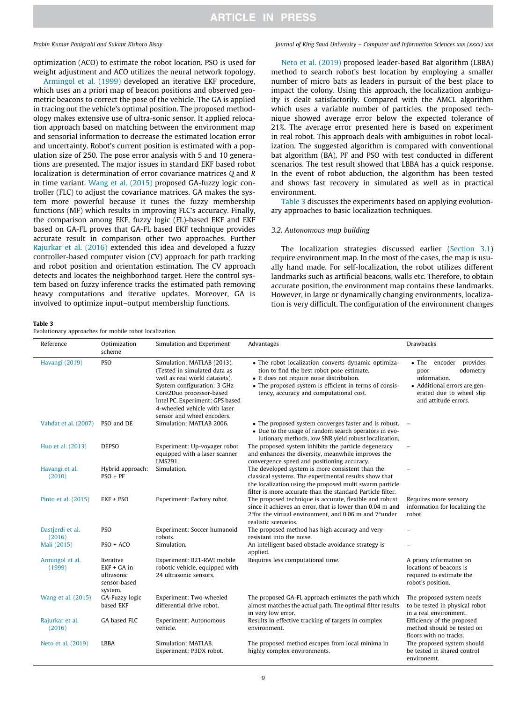optimization (ACO) to estimate the robot location. PSO is used for weight adjustment and ACO utilizes the neural network topology.

Armingol et al. (1999) developed an iterative EKF procedure, which uses an a priori map of beacon positions and observed geometric beacons to correct the pose of the vehicle. The GA is applied in tracing out the vehicle's optimal position. The proposed methodology makes extensive use of ultra-sonic sensor. It applied relocation approach based on matching between the environment map and sensorial information to decrease the estimated location error and uncertainty. Robot's current position is estimated with a population size of 250. The pose error analysis with 5 and 10 generations are presented. The major issues in standard EKF based robot localization is determination of error covariance matrices *Q* and *R* in time variant. Wang et al. (2015) proposed GA-fuzzy logic controller (FLC) to adjust the covariance matrices. GA makes the system more powerful because it tunes the fuzzy membership functions (MF) which results in improving FLC's accuracy. Finally, the comparison among EKF, fuzzy logic (FL)-based EKF and EKF based on GA-FL proves that GA-FL based EKF technique provides accurate result in comparison other two approaches. Further Rajurkar et al. (2016) extended this idea and developed a fuzzy controller-based computer vision (CV) approach for path tracking and robot position and orientation estimation. The CV approach detects and locates the neighborhood target. Here the control system based on fuzzy inference tracks the estimated path removing heavy computations and iterative updates. Moreover, GA is involved to optimize input–output membership functions.

### Table 3

Evolutionary approaches for mobile robot localization.

*Prabin Kumar Panigrahi and Sukant Kishoro Bisoy Journal of King Saud University – Computer and Information Sciences xxx (xxxx) xxx*

Neto et al. (2019) proposed leader-based Bat algorithm (LBBA) method to search robot's best location by employing a smaller number of micro bats as leaders in pursuit of the best place to impact the colony. Using this approach, the localization ambiguity is dealt satisfactorily. Compared with the AMCL algorithm which uses a variable number of particles, the proposed technique showed average error below the expected tolerance of 21%. The average error presented here is based on experiment in real robot. This approach deals with ambiguities in robot localization. The suggested algorithm is compared with conventional bat algorithm (BA), PF and PSO with test conducted in different scenarios. The test result showed that LBBA has a quick response. In the event of robot abduction, the algorithm has been tested and shows fast recovery in simulated as well as in practical environment.

Table 3 discusses the experiments based on applying evolutionary approaches to basic localization techniques.

### *3.2. Autonomous map building*

The localization strategies discussed earlier (Section 3.1) require environment map. In the most of the cases, the map is usually hand made. For self-localization, the robot utilizes different landmarks such as artificial beacons, walls etc. Therefore, to obtain accurate position, the environment map contains these landmarks. However, in large or dynamically changing environments, localization is very difficult. The configuration of the environment changes

| Reference                  | Optimization<br>scheme                                              | Simulation and Experiment                                                                                                                                                                                                                               | Advantages                                                                                                                                                                                                                                          | <b>Drawbacks</b>                                                                                                                               |
|----------------------------|---------------------------------------------------------------------|---------------------------------------------------------------------------------------------------------------------------------------------------------------------------------------------------------------------------------------------------------|-----------------------------------------------------------------------------------------------------------------------------------------------------------------------------------------------------------------------------------------------------|------------------------------------------------------------------------------------------------------------------------------------------------|
| Havangi (2019)             | <b>PSO</b>                                                          | Simulation: MATLAB (2013).<br>(Tested in simulated data as<br>well as real world datasets).<br>System configuration: 3 GHz<br>Core2Duo processor-based<br>Intel PC. Experiment: GPS based<br>4-wheeled vehicle with laser<br>sensor and wheel encoders. | • The robot localization converts dynamic optimiza-<br>tion to find the best robot pose estimate.<br>• It does not require noise distribution.<br>• The proposed system is efficient in terms of consis-<br>tency, accuracy and computational cost. | • The encoder provides<br>odometry<br>poor<br>information.<br>• Additional errors are gen-<br>erated due to wheel slip<br>and attitude errors. |
| Vahdat et al. (2007)       | PSO and DE                                                          | Simulation: MATLAB 2006.                                                                                                                                                                                                                                | • The proposed system converges faster and is robust. $-$<br>• Due to the usage of random search operators in evo-<br>lutionary methods, low SNR yield robust localization.                                                                         |                                                                                                                                                |
| Huo et al. (2013)          | <b>DEPSO</b>                                                        | Experiment: Up-voyager robot<br>equipped with a laser scanner<br>LMS291.                                                                                                                                                                                | The proposed system inhibits the particle degeneracy<br>and enhances the diversity, meanwhile improves the<br>convergence speed and positioning accuracy.                                                                                           |                                                                                                                                                |
| Havangi et al.<br>(2010)   | Hybrid approach:<br>$PSO + PF$                                      | Simulation.                                                                                                                                                                                                                                             | The developed system is more consistent than the<br>classical systems. The experimental results show that<br>the localization using the proposed multi swarm particle<br>filter is more accurate than the standard Particle filter.                 |                                                                                                                                                |
| Pinto et al. (2015)        | EKF + PSO                                                           | Experiment: Factory robot.                                                                                                                                                                                                                              | The proposed technique is accurate, flexible and robust<br>since it achieves an error, that is lower than 0.04 m and<br>$2^{\circ}$ for the virtual environment, and 0.06 m and $7^{\circ}$ under<br>realistic scenarios.                           | Requires more sensory<br>information for localizing the<br>robot.                                                                              |
| Dastjerdi et al.<br>(2016) | <b>PSO</b>                                                          | Experiment: Soccer humanoid<br>robots.                                                                                                                                                                                                                  | The proposed method has high accuracy and very<br>resistant into the noise.                                                                                                                                                                         |                                                                                                                                                |
| Mali (2015)                | $PSO + ACO$                                                         | Simulation.                                                                                                                                                                                                                                             | An intelligent based obstacle avoidance strategy is<br>applied.                                                                                                                                                                                     |                                                                                                                                                |
| Armingol et al.<br>(1999)  | Iterative<br>$EKF + GA$ in<br>ultrasonic<br>sensor-based<br>system. | Experiment: B21-RWI mobile<br>robotic vehicle, equipped with<br>24 ultrasonic sensors.                                                                                                                                                                  | Requires less computational time.                                                                                                                                                                                                                   | A priory information on<br>locations of beacons is<br>required to estimate the<br>robot's position.                                            |
| Wang et al. (2015)         | GA-Fuzzy logic<br>based EKF                                         | Experiment: Two-wheeled<br>differential drive robot.                                                                                                                                                                                                    | The proposed GA-FL approach estimates the path which<br>almost matches the actual path. The optimal filter results<br>in very low error.                                                                                                            | The proposed system needs<br>to be tested in physical robot<br>in a real environment.                                                          |
| Rajurkar et al.<br>(2016)  | GA based FLC                                                        | Experiment: Autonomous<br>vehicle.                                                                                                                                                                                                                      | Results in effective tracking of targets in complex<br>environment.                                                                                                                                                                                 | Efficiency of the proposed<br>method should be tested on<br>floors with no tracks.                                                             |
| Neto et al. (2019)         | LBBA                                                                | Simulation: MATLAB.<br>Experiment: P3DX robot.                                                                                                                                                                                                          | The proposed method escapes from local minima in<br>highly complex environments.                                                                                                                                                                    | The proposed system should<br>be tested in shared control<br>environemt.                                                                       |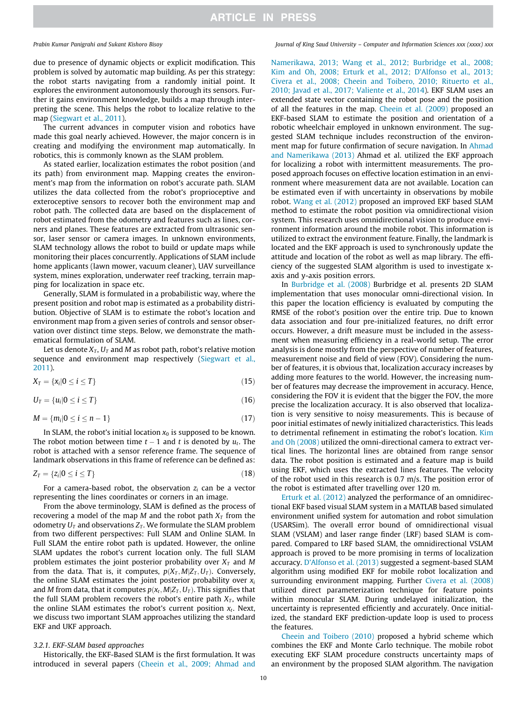due to presence of dynamic objects or explicit modification. This problem is solved by automatic map building. As per this strategy: the robot starts navigating from a randomly initial point. It explores the environment autonomously thorough its sensors. Further it gains environment knowledge, builds a map through interpreting the scene. This helps the robot to localize relative to the map (Siegwart et al., 2011).

The current advances in computer vision and robotics have made this goal nearly achieved. However, the major concern is in creating and modifying the environment map automatically. In robotics, this is commonly known as the SLAM problem.

As stated earlier, localization estimates the robot position (and its path) from environment map. Mapping creates the environment's map from the information on robot's accurate path. SLAM utilizes the data collected from the robot's proprioceptive and exteroceptive sensors to recover both the environment map and robot path. The collected data are based on the displacement of robot estimated from the odometry and features such as lines, corners and planes. These features are extracted from ultrasonic sensor, laser sensor or camera images. In unknown environments, SLAM technology allows the robot to build or update maps while monitoring their places concurrently. Applications of SLAM include home applicants (lawn mower, vacuum cleaner), UAV surveillance system, mines exploration, underwater reef tracking, terrain mapping for localization in space etc.

Generally, SLAM is formulated in a probabilistic way, where the present position and robot map is estimated as a probability distribution. Objective of SLAM is to estimate the robot's location and environment map from a given series of controls and sensor observation over distinct time steps. Below, we demonstrate the mathematical formulation of SLAM.

Let us denote  $X_T$ ,  $U_T$  and M as robot path, robot's relative motion sequence and environment map respectively (Siegwart et al., 2011).

$$
X_T = \{x_i | 0 \le i \le T\} \tag{15}
$$

 $U_T = \{u_i | 0 \le i \le T\}$  (16)

$$
M = \{m_i | 0 \le i \le n-1\}
$$
\n
$$
(17)
$$

In SLAM, the robot's initial location  $x_0$  is supposed to be known. The robot motion between time  $t-1$  and  $t$  is denoted by  $u_t$ . The robot is attached with a sensor reference frame. The sequence of landmark observations in this frame of reference can be defined as:

$$
Z_T = \{z_i | 0 \le i \le T\} \tag{18}
$$

For a camera-based robot, the observation  $z_i$  can be a vector representing the lines coordinates or corners in an image.

From the above terminology, SLAM is defined as the process of recovering a model of the map  $M$  and the robot path  $X_T$  from the odometry  $U_T$  and observations  $Z_T$ . We formulate the SLAM problem from two different perspectives: Full SLAM and Online SLAM. In Full SLAM the entire robot path is updated. However, the online SLAM updates the robot's current location only. The full SLAM problem estimates the joint posterior probability over *X<sup>T</sup>* and *M* from the data. That is, it computes,  $p(X_T, M|Z_T, U_T)$ . Conversely, the online SLAM estimates the joint posterior probability over  $x_i$ and *M* from data, that it computes  $p(x_t, M | Z_T, U_T)$ . This signifies that the full SLAM problem recovers the robot's entire path  $X_T$ , while the online SLAM estimates the robot's current position *x<sup>t</sup>* . Next, we discuss two important SLAM approaches utilizing the standard EKF and UKF approach.

### *3.2.1. EKF-SLAM based approaches*

Historically, the EKF-Based SLAM is the first formulation. It was introduced in several papers (Cheein et al., 2009; Ahmad and

### *Prabin Kumar Panigrahi and Sukant Kishoro Bisoy Journal of King Saud University – Computer and Information Sciences xxx (xxxx) xxx*

Namerikawa, 2013; Wang et al., 2012; Burbridge et al., 2008; Kim and Oh, 2008; Erturk et al., 2012; D'Alfonso et al., 2013; Civera et al., 2008; Cheein and Toibero, 2010; Rituerto et al., 2010; Javad et al., 2017; Valiente et al., 2014). EKF SLAM uses an extended state vector containing the robot pose and the position of all the features in the map. Cheein et al. (2009) proposed an EKF-based SLAM to estimate the position and orientation of a robotic wheelchair employed in unknown environment. The suggested SLAM technique includes reconstruction of the environment map for future confirmation of secure navigation. In Ahmad and Namerikawa (2013) Ahmad et al. utilized the EKF approach for localizing a robot with intermittent measurements. The proposed approach focuses on effective location estimation in an environment where measurement data are not available. Location can be estimated even if with uncertainty in observations by mobile robot. Wang et al. (2012) proposed an improved EKF based SLAM method to estimate the robot position via omnidirectional vision system. This research uses omnidirectional vision to produce environment information around the mobile robot. This information is utilized to extract the environment feature. Finally, the landmark is located and the EKF approach is used to synchronously update the attitude and location of the robot as well as map library. The efficiency of the suggested SLAM algorithm is used to investigate xaxis and y-axis position errors.

In Burbridge et al. (2008) Burbridge et al. presents 2D SLAM implementation that uses monocular omni-directional vision. In this paper the location efficiency is evaluated by computing the RMSE of the robot's position over the entire trip. Due to known data association and four pre-initialized features, no drift error occurs. However, a drift measure must be included in the assessment when measuring efficiency in a real-world setup. The error analysis is done mostly from the perspective of number of features, measurement noise and field of view (FOV). Considering the number of features, it is obvious that, localization accuracy increases by adding more features to the world. However, the increasing number of features may decrease the improvement in accuracy. Hence, considering the FOV it is evident that the bigger the FOV, the more precise the localization accuracy. It is also observed that localization is very sensitive to noisy measurements. This is because of poor initial estimates of newly initialized characteristics. This leads to detrimental refinement in estimating the robot's location. Kim and Oh (2008) utilized the omni-directional camera to extract vertical lines. The horizontal lines are obtained from range sensor data. The robot position is estimated and a feature map is build using EKF, which uses the extracted lines features. The velocity of the robot used in this research is 0.7 m/s. The position error of the robot is estimated after travelling over 120 m.

Erturk et al. (2012) analyzed the performance of an omnidirectional EKF based visual SLAM system in a MATLAB based simulated environment unified system for automation and robot simulation (USARSim). The overall error bound of omnidirectional visual SLAM (VSLAM) and laser range finder (LRF) based SLAM is compared. Compared to LRF based SLAM, the omnidirectional VSLAM approach is proved to be more promising in terms of localization accuracy. D'Alfonso et al. (2013) suggested a segment-based SLAM algorithm using modified EKF for mobile robot localization and surrounding environment mapping. Further Civera et al. (2008) utilized direct parameterization technique for feature points within monocular SLAM. During undelayed initialization, the uncertainty is represented efficiently and accurately. Once initialized, the standard EKF prediction-update loop is used to process the features.

Cheein and Toibero (2010) proposed a hybrid scheme which combines the EKF and Monte Carlo technique. The mobile robot executing EKF SLAM procedure constructs uncertainty maps of an environment by the proposed SLAM algorithm. The navigation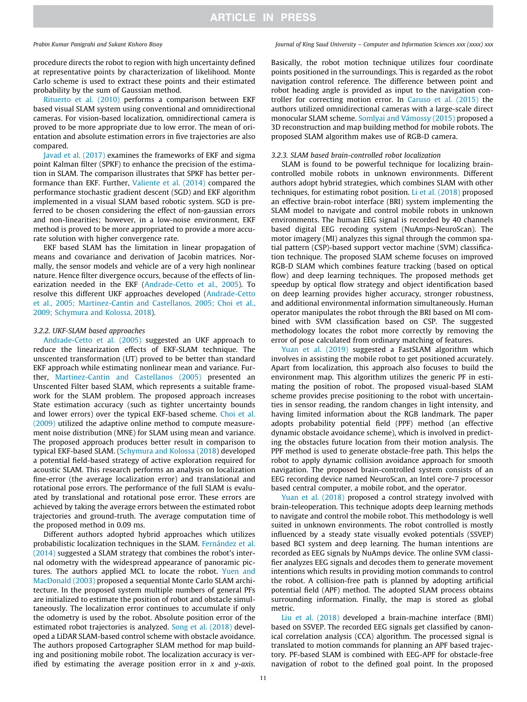### *Prabin Kumar Panigrahi and Sukant Kishoro Bisoy Journal of King Saud University – Computer and Information Sciences xxx (xxxx) xxx*

procedure directs the robot to region with high uncertainty defined at representative points by characterization of likelihood. Monte Carlo scheme is used to extract these points and their estimated probability by the sum of Gaussian method.

Rituerto et al. (2010) performs a comparison between EKF based visual SLAM system using conventional and omnidirectional cameras. For vision-based localization, omnidirectional camera is proved to be more appropriate due to low error. The mean of orientation and absolute estimation errors in five trajectories are also compared.

Javad et al. (2017) examines the frameworks of EKF and sigma point Kalman filter (SPKF) to enhance the precision of the estimation in SLAM. The comparison illustrates that SPKF has better performance than EKF. Further, Valiente et al. (2014) compared the performance stochastic gradient descent (SGD) and EKF algorithm implemented in a visual SLAM based robotic system. SGD is preferred to be chosen considering the effect of non-gaussian errors and non-linearities; however, in a low-noise environment, EKF method is proved to be more appropriated to provide a more accurate solution with higher convergence rate.

EKF based SLAM has the limitation in linear propagation of means and covariance and derivation of Jacobin matrices. Normally, the sensor models and vehicle are of a very high nonlinear nature. Hence filter divergence occurs, because of the effects of linearization needed in the EKF (Andrade-Cetto et al., 2005). To resolve this different UKF approaches developed (Andrade-Cetto et al., 2005; Martinez-Cantin and Castellanos, 2005; Choi et al., 2009; Schymura and Kolossa, 2018).

### *3.2.2. UKF-SLAM based approaches*

Andrade-Cetto et al. (2005) suggested an UKF approach to reduce the linearization effects of EKF-SLAM technique. The unscented transformation (UT) proved to be better than standard EKF approach while estimating nonlinear mean and variance. Further, Martinez-Cantin and Castellanos (2005) presented an Unscented Filter based SLAM, which represents a suitable framework for the SLAM problem. The proposed approach increases State estimation accuracy (such as tighter uncertainty bounds and lower errors) over the typical EKF-based scheme. Choi et al. (2009) utilized the adaptive online method to compute measurement noise distribution (MNE) for SLAM using mean and variance. The proposed approach produces better result in comparison to typical EKF-based SLAM. (Schymura and Kolossa (2018) developed a potential field-based strategy of active exploration required for acoustic SLAM. This research performs an analysis on localization fine-error (the average localization error) and translational and rotational pose errors. The performance of the full SLAM is evaluated by translational and rotational pose error. These errors are achieved by taking the average errors between the estimated robot trajectories and ground-truth. The average computation time of the proposed method in 0.09 ms.

Different authors adopted hybrid approaches which utilizes probabilistic localization techniques in the SLAM. Fernández et al. (2014) suggested a SLAM strategy that combines the robot's internal odometry with the widespread appearance of panoramic pictures. The authors applied MCL to locate the robot. Yuen and MacDonald (2003) proposed a sequential Monte Carlo SLAM architecture. In the proposed system multiple numbers of general PFs are initialized to estimate the position of robot and obstacle simultaneously. The localization error continues to accumulate if only the odometry is used by the robot. Absolute position error of the estimated robot trajectories is analyzed. Song et al. (2018) developed a LiDAR SLAM-based control scheme with obstacle avoidance. The authors proposed Cartographer SLAM method for map building and positioning mobile robot. The localization accuracy is verified by estimating the average position error in *x* and *y*-*axis*.

Basically, the robot motion technique utilizes four coordinate points positioned in the surroundings. This is regarded as the robot navigation control reference. The difference between point and robot heading angle is provided as input to the navigation controller for correcting motion error. In Caruso et al. (2015) the authors utilized omnidirectional cameras with a large-scale direct monocular SLAM scheme. Somlyai and Vámossy (2015) proposed a 3D reconstruction and map building method for mobile robots. The proposed SLAM algorithm makes use of RGB-D camera.

### *3.2.3. SLAM based brain-controlled robot localization*

SLAM is found to be powerful technique for localizing braincontrolled mobile robots in unknown environments. Different authors adopt hybrid strategies, which combines SLAM with other techniques, for estimating robot position. Li et al. (2018) proposed an effective brain-robot interface (BRI) system implementing the SLAM model to navigate and control mobile robots in unknown environments. The human EEG signal is recorded by 40 channels based digital EEG recoding system (NuAmps-NeuroScan). The motor imagery (MI) analyzes this signal through the common spatial pattern (CSP)-based support vector machine (SVM) classification technique. The proposed SLAM scheme focuses on improved RGB-D SLAM which combines feature tracking (based on optical flow) and deep learning techniques. The proposed methods get speedup by optical flow strategy and object identification based on deep learning provides higher accuracy, stronger robustness, and additional environmental information simultaneously. Human operator manipulates the robot through the BRI based on MI combined with SVM classification based on CSP. The suggested methodology locates the robot more correctly by removing the error of pose calculated from ordinary matching of features.

Yuan et al. (2019) suggested a FastSLAM algorithm which involves in assisting the mobile robot to get positioned accurately. Apart from localization, this approach also focuses to build the environment map. This algorithm utilizes the generic PF in estimating the position of robot. The proposed visual-based SLAM scheme provides precise positioning to the robot with uncertainties in sensor reading, the random changes in light intensity, and having limited information about the RGB landmark. The paper adopts probability potential field (PPF) method (an effective dynamic obstacle avoidance scheme), which is involved in predicting the obstacles future location from their motion analysis. The PPF method is used to generate obstacle-free path. This helps the robot to apply dynamic collision avoidance approach for smooth navigation. The proposed brain-controlled system consists of an EEG recording device named NeuroScan, an Intel core-7 processor based central computer, a mobile robot, and the operator.

Yuan et al. (2018) proposed a control strategy involved with brain-teleoperation. This technique adopts deep learning methods to navigate and control the mobile robot. This methodology is well suited in unknown environments. The robot controlled is mostly influenced by a steady state visually evoked potentials (SSVEP) based BCI system and deep learning. The human intentions are recorded as EEG signals by NuAmps device. The online SVM classifier analyzes EEG signals and decodes them to generate movement intentions which results in providing motion commands to control the robot. A collision-free path is planned by adopting artificial potential field (APF) method. The adopted SLAM process obtains surrounding information. Finally, the map is stored as global metric.

Liu et al. (2018) developed a brain-machine interface (BMI) based on SSVEP. The recorded EEG signals get classified by canonical correlation analysis (CCA) algorithm. The processed signal is translated to motion commands for planning an APF based trajectory. PF-based SLAM is combined with EEG-APF for obstacle-free navigation of robot to the defined goal point. In the proposed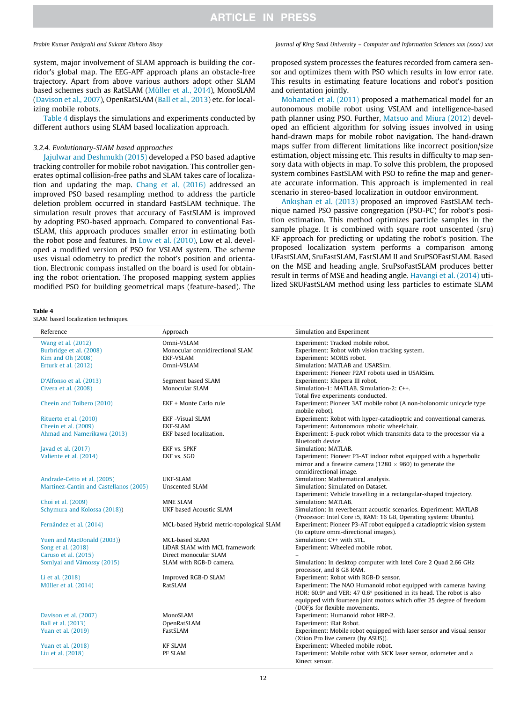*Prabin Kumar Panigrahi and Sukant Kishoro Bisoy Journal of King Saud University – Computer and Information Sciences xxx (xxxx) xxx*

system, major involvement of SLAM approach is building the corridor's global map. The EEG-APF approach plans an obstacle-free trajectory. Apart from above various authors adopt other SLAM based schemes such as RatSLAM (Müller et al., 2014), MonoSLAM (Davison et al., 2007), OpenRatSLAM (Ball et al., 2013) etc. for localizing mobile robots.

Table 4 displays the simulations and experiments conducted by different authors using SLAM based localization approach.

### *3.2.4. Evolutionary-SLAM based approaches*

Jajulwar and Deshmukh (2015) developed a PSO based adaptive tracking controller for mobile robot navigation. This controller generates optimal collision-free paths and SLAM takes care of localization and updating the map. Chang et al. (2016) addressed an improved PSO based resampling method to address the particle deletion problem occurred in standard FastSLAM technique. The simulation result proves that accuracy of FastSLAM is improved by adopting PSO-based approach. Compared to conventional FastSLAM, this approach produces smaller error in estimating both the robot pose and features. In Low et al. (2010), Low et al. developed a modified version of PSO for VSLAM system. The scheme uses visual odometry to predict the robot's position and orientation. Electronic compass installed on the board is used for obtaining the robot orientation. The proposed mapping system applies modified PSO for building geometrical maps (feature-based). The

|--|--|

SLAM based localization techniques.

proposed system processes the features recorded from camera sensor and optimizes them with PSO which results in low error rate. This results in estimating feature locations and robot's position and orientation jointly.

Mohamed et al. (2011) proposed a mathematical model for an autonomous mobile robot using VSLAM and intelligence-based path planner using PSO. Further, Matsuo and Miura (2012) developed an efficient algorithm for solving issues involved in using hand-drawn maps for mobile robot navigation. The hand-drawn maps suffer from different limitations like incorrect position/size estimation, object missing etc. This results in difficulty to map sensory data with objects in map. To solve this problem, the proposed system combines FastSLAM with PSO to refine the map and generate accurate information. This approach is implemented in real scenario in stereo-based localization in outdoor environment.

Ankıshan et al. (2013) proposed an improved FastSLAM technique named PSO passive congregation (PSO-PC) for robot's position estimation. This method optimizes particle samples in the sample phage. It is combined with square root unscented (sru) KF approach for predicting or updating the robot's position. The proposed localization system performs a comparison among UFastSLAM, SruFastSLAM, FastSLAM II and SruPSOFastSLAM. Based on the MSE and heading angle, SruPsoFastSLAM produces better result in terms of MSE and heading angle. Havangi et al. (2014) utilized SRUFastSLAM method using less particles to estimate SLAM

| Reference                              | Approach                                 | Simulation and Experiment                                                                                   |
|----------------------------------------|------------------------------------------|-------------------------------------------------------------------------------------------------------------|
| Wang et al. (2012)                     | Omni-VSLAM                               | Experiment: Tracked mobile robot.                                                                           |
| Burbridge et al. (2008)                | Monocular omnidirectional SLAM           | Experiment: Robot with vision tracking system.                                                              |
| Kim and Oh (2008)                      | <b>EKF-VSLAM</b>                         | Experiment: MORIS robot.                                                                                    |
| Erturk et al. (2012)                   | Omni-VSLAM                               | Simulation: MATLAB and USARSim.                                                                             |
|                                        |                                          | Experiment: Pioneer P2AT robots used in USARSim.                                                            |
| D'Alfonso et al. (2013)                | Segment based SLAM                       | Experiment: Khepera III robot.                                                                              |
| Civera et al. (2008)                   | Monocular SLAM                           | Simulation-1: MATLAB. Simulation-2: C++.                                                                    |
|                                        |                                          | Total five experiments conducted.                                                                           |
| Cheein and Toibero (2010)              | EKF + Monte Carlo rule                   | Experiment: Pioneer 3AT mobile robot (A non-holonomic unicycle type<br>mobile robot).                       |
| Rituerto et al. (2010)                 | <b>EKF-Visual SLAM</b>                   | Experiment: Robot with hyper-catadioptric and conventional cameras.                                         |
| Cheein et al. (2009)                   | <b>EKF-SLAM</b>                          | Experiment: Autonomous robotic wheelchair.                                                                  |
| Ahmad and Namerikawa (2013)            | EKF based localization.                  | Experiment: E-puck robot which transmits data to the processor via a<br>Bluetooth device.                   |
| Javad et al. (2017)                    | <b>EKF vs. SPKF</b>                      | Simulation: MATLAB.                                                                                         |
| Valiente et al. (2014)                 | EKF vs. SGD                              | Experiment: Pioneer P3-AT indoor robot equipped with a hyperbolic                                           |
|                                        |                                          | mirror and a firewire camera ( $1280 \times 960$ ) to generate the<br>omnidirectional image.                |
| Andrade-Cetto et al. (2005)            | <b>UKF-SLAM</b>                          | Simulation: Mathematical analysis.                                                                          |
| Martinez-Cantin and Castellanos (2005) | Unscented SLAM                           | Simulation: Simulated on Dataset.                                                                           |
|                                        |                                          | Experiment: Vehicle travelling in a rectangular-shaped trajectory.                                          |
| Choi et al. (2009)                     | <b>MNE SLAM</b>                          | Simulation: MATLAB.                                                                                         |
| Schymura and Kolossa (2018))           | UKF based Acoustic SLAM                  | Simulation: In reverberant acoustic scenarios. Experiment: MATLAB                                           |
|                                        |                                          | (Processor: Intel Core i5, RAM: 16 GB, Operating system: Ubuntu).                                           |
| Fernández et al. (2014)                | MCL-based Hybrid metric-topological SLAM | Experiment: Pioneer P3-AT robot equipped a catadioptric vision system                                       |
|                                        |                                          | (to capture omni-directional images).                                                                       |
| Yuen and MacDonald (2003))             | MCL-based SLAM                           | Simulation: C++ with STL.                                                                                   |
| Song et al. (2018)                     | LiDAR SLAM with MCL framework            | Experiment: Wheeled mobile robot.                                                                           |
| Caruso et al. (2015)                   | Direct monocular SLAM                    |                                                                                                             |
| Somlyai and Vámossy (2015)             | SLAM with RGB-D camera.                  | Simulation: In desktop computer with Intel Core 2 Quad 2.66 GHz<br>processor, and 8 GB RAM.                 |
| Li et al. (2018)                       | Improved RGB-D SLAM                      | Experiment: Robot with RGB-D sensor.                                                                        |
| Müller et al. (2014)                   | RatSLAM                                  | Experiment: The NAO Humanoid robot equipped with cameras having                                             |
|                                        |                                          | HOR: $60.9^{\circ}$ and VER: 47 $0.6^{\circ}$ positioned in its head. The robot is also                     |
|                                        |                                          | equipped with fourteen joint motors which offer 25 degree of freedom                                        |
|                                        |                                          | (DOF)s for flexible movements.                                                                              |
| Davison et al. (2007)                  | MonoSLAM                                 | Experiment: Humanoid robot HRP-2.                                                                           |
| Ball et al. (2013)                     | OpenRatSLAM                              | Experiment: iRat Robot.                                                                                     |
| Yuan et al. (2019)                     | FastSLAM                                 | Experiment: Mobile robot equipped with laser sensor and visual sensor<br>(Xtion Pro live camera (by ASUS)). |
| Yuan et al. (2018)                     | <b>KF SLAM</b>                           | Experiment: Wheeled mobile robot.                                                                           |
| Liu et al. (2018)                      | PF SLAM                                  | Experiment: Mobile robot with SICK laser sensor, odometer and a                                             |
|                                        |                                          | Kinect sensor.                                                                                              |
|                                        |                                          |                                                                                                             |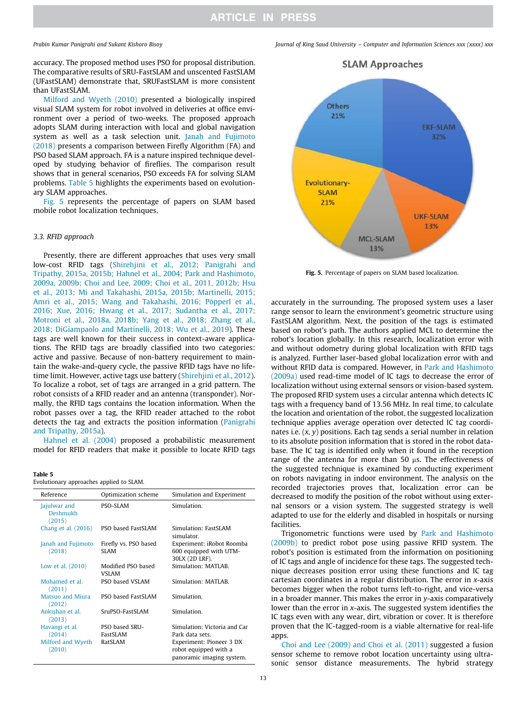accuracy. The proposed method uses PSO for proposal distribution. The comparative results of SRU-FastSLAM and unscented FastSLAM (UFastSLAM) demonstrate that, SRUFastSLAM is more consistent than UFastSLAM.

Milford and Wyeth (2010) presented a biologically inspired visual SLAM system for robot involved in deliveries at office environment over a period of two-weeks. The proposed approach adopts SLAM during interaction with local and global navigation system as well as a task selection unit. Janah and Fujimoto (2018) presents a comparison between Firefly Algorithm (FA) and PSO based SLAM approach. FA is a nature inspired technique developed by studying behavior of fireflies. The comparison result shows that in general scenarios, PSO exceeds FA for solving SLAM problems. Table 5 highlights the experiments based on evolutionary SLAM approaches.

Fig. 5 represents the percentage of papers on SLAM based mobile robot localization techniques.

### *3.3. RFID approach*

Presently, there are different approaches that uses very small low-cost RFID tags (Shirehjini et al., 2012; Panigrahi and Tripathy, 2015a, 2015b; Hahnel et al., 2004; Park and Hashimoto, 2009a, 2009b; Choi and Lee, 2009; Choi et al., 2011, 2012b; Hsu et al., 2013; Mi and Takahashi, 2015a, 2015b; Martinelli, 2015; Amri et al., 2015; Wang and Takahashi, 2016; Pöpperl et al., 2016; Xue, 2016; Hwang et al., 2017; Sudantha et al., 2017; Motroni et al., 2018a, 2018b; Yang et al., 2018; Zhang et al., 2018; DiGiampaolo and Martinelli, 2018; Wu et al., 2019). These tags are well known for their success in context-aware applications. The RFID tags are broadly classified into two categories: active and passive. Because of non-battery requirement to maintain the wake-and-query cycle, the passive RFID tags have no lifetime limit. However, active tags use battery (Shirehjini et al., 2012). To localize a robot, set of tags are arranged in a grid pattern. The robot consists of a RFID reader and an antenna (transponder). Normally, the RFID tags contains the location information. When the robot passes over a tag, the RFID reader attached to the robot detects the tag and extracts the position information (Panigrahi and Tripathy, 2015a).

Hahnel et al. (2004) proposed a probabilistic measurement model for RFID readers that make it possible to locate RFID tags

| Table 5<br>Evolutionary approaches applied to SLAM. |                                      |                                                                                |  |  |  |
|-----------------------------------------------------|--------------------------------------|--------------------------------------------------------------------------------|--|--|--|
| Reference                                           | Optimization scheme                  | Simulation and Experiment                                                      |  |  |  |
| Jajulwar and<br>Deshmukh<br>(2015)                  | PSO-SLAM                             | Simulation.                                                                    |  |  |  |
| Chang et al. (2016)                                 | PSO based FastSLAM                   | Simulation: FastSLAM<br>simulator                                              |  |  |  |
| Janah and Fujimoto<br>(2018)                        | Firefly vs. PSO based<br><b>SLAM</b> | Experiment: iRobot Roomba<br>600 equipped with UTM-<br>30LX (2D LRF).          |  |  |  |
| Low et al. (2010)                                   | Modified PSO based<br><b>VSLAM</b>   | Simulation: MATLAB.                                                            |  |  |  |
| Mohamed et al.<br>(2011)                            | PSO based VSLAM                      | Simulation: MATLAB.                                                            |  |  |  |
| <b>Matsuo and Miura</b><br>(2012)                   | PSO based FastSLAM                   | Simulation.                                                                    |  |  |  |
| Ankışhan et al.<br>(2013)                           | SruPSO-FastSLAM                      | Simulation.                                                                    |  |  |  |
| Havangi et al.                                      | PSO based SRU-                       | Simulation: Victoria and Car                                                   |  |  |  |
| (2014)                                              | <b>FastSLAM</b>                      | Park data sets.                                                                |  |  |  |
| Milford and Wyeth<br>(2010)                         | RatSLAM                              | Experiment: Pioneer 3 DX<br>robot equipped with a<br>panoramic imaging system. |  |  |  |





Fig. 5. Percentage of papers on SLAM based localization.

accurately in the surrounding. The proposed system uses a laser range sensor to learn the environment's geometric structure using FastSLAM algorithm. Next, the position of the tags is estimated based on robot's path. The authors applied MCL to determine the robot's location globally. In this research, localization error with and without odometry during global localization with RFID tags is analyzed. Further laser-based global localization error with and without RFID data is compared. However, in Park and Hashimoto (2009a) used read-time model of IC tags to decrease the error of localization without using external sensors or vision-based system. The proposed RFID system uses a circular antenna which detects IC tags with a frequency band of 13.56 MHz. In real time, to calculate the location and orientation of the robot, the suggested localization technique applies average operation over detected IC tag coordinates i.e. (*x*, *y*) positions. Each tag sends a serial number in relation to its absolute position information that is stored in the robot database. The IC tag is identified only when it found in the reception range of the antenna for more than 50  $\mu$ s. The effectiveness of the suggested technique is examined by conducting experiment on robots navigating in indoor environment. The analysis on the recorded trajectories proves that, localization error can be decreased to modify the position of the robot without using external sensors or a vision system. The suggested strategy is well adapted to use for the elderly and disabled in hospitals or nursing facilities.

Trigonometric functions were used by Park and Hashimoto (2009b) to predict robot pose using passive RFID system. The robot's position is estimated from the information on positioning of IC tags and angle of incidence for these tags. The suggested technique decreases position error using these functions and IC tag cartesian coordinates in a regular distribution. The error in *x*-axis becomes bigger when the robot turns left-to-right, and vice-versa in a broader manner. This makes the error in *y*-axis comparatively lower than the error in *x*-axis. The suggested system identifies the IC tags even with any wear, dirt, vibration or cover. It is therefore proven that the IC-tagged-room is a viable alternative for real-life apps.

Choi and Lee (2009) and Choi et al. (2011) suggested a fusion sensor scheme to remove robot location uncertainty using ultrasonic sensor distance measurements. The hybrid strategy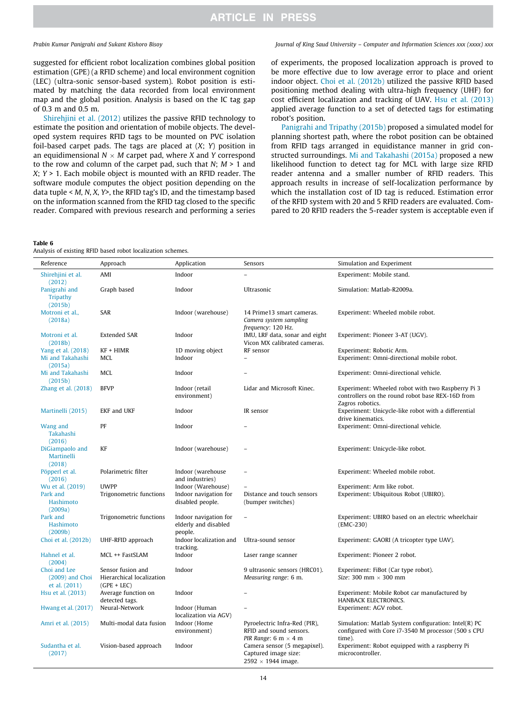suggested for efficient robot localization combines global position estimation (GPE) (a RFID scheme) and local environment cognition (LEC) (ultra-sonic sensor-based system). Robot position is estimated by matching the data recorded from local environment map and the global position. Analysis is based on the IC tag gap of 0.3 m and 0.5 m.

Shirehjini et al. (2012) utilizes the passive RFID technology to estimate the position and orientation of mobile objects. The developed system requires RFID tags to be mounted on PVC isolation foil-based carpet pads. The tags are placed at (*X*; *Y*) position in an equidimensional  $N \times M$  carpet pad, where *X* and *Y* correspond to the row and column of the carpet pad, such that *N*; *M* > 1 and *X*; *Y* > 1. Each mobile object is mounted with an RFID reader. The software module computes the object position depending on the data tuple < *M*, *N*, *X*, *Y>*, the RFID tag's ID, and the timestamp based on the information scanned from the RFID tag closed to the specific reader. Compared with previous research and performing a series

### Table 6

Analysis of existing RFID based robot localization schemes.

### *Prabin Kumar Panigrahi and Sukant Kishoro Bisoy Journal of King Saud University – Computer and Information Sciences xxx (xxxx) xxx*

of experiments, the proposed localization approach is proved to be more effective due to low average error to place and orient indoor object. Choi et al. (2012b) utilized the passive RFID based positioning method dealing with ultra-high frequency (UHF) for cost efficient localization and tracking of UAV. Hsu et al. (2013) applied average function to a set of detected tags for estimating robot's position.

Panigrahi and Tripathy (2015b) proposed a simulated model for planning shortest path, where the robot position can be obtained from RFID tags arranged in equidistance manner in grid constructed surroundings. Mi and Takahashi (2015a) proposed a new likelihood function to detect tag for MCL with large size RFID reader antenna and a smaller number of RFID readers. This approach results in increase of self-localization performance by which the installation cost of ID tag is reduced. Estimation error of the RFID system with 20 and 5 RFID readers are evaluated. Compared to 20 RFID readers the 5-reader system is acceptable even if

| Reference                                          | Approach                                                        | Application                                              | Sensors                                                                                 | Simulation and Experiment                                                                                                 |
|----------------------------------------------------|-----------------------------------------------------------------|----------------------------------------------------------|-----------------------------------------------------------------------------------------|---------------------------------------------------------------------------------------------------------------------------|
| Shirehjini et al.<br>(2012)                        | AMI                                                             | Indoor                                                   |                                                                                         | Experiment: Mobile stand.                                                                                                 |
| Panigrahi and<br><b>Tripathy</b><br>(2015b)        | Graph based                                                     | Indoor                                                   | Ultrasonic                                                                              | Simulation: Matlab-R2009a.                                                                                                |
| Motroni et al.,<br>(2018a)                         | SAR                                                             | Indoor (warehouse)                                       | 14 Prime13 smart cameras.<br>Camera system sampling<br>frequency: 120 Hz.               | Experiment: Wheeled mobile robot.                                                                                         |
| Motroni et al.<br>(2018b)                          | <b>Extended SAR</b>                                             | Indoor                                                   | IMU, LRF data, sonar and eight<br>Vicon MX calibrated cameras.                          | Experiment: Pioneer 3-AT (UGV).                                                                                           |
| Yang et al. (2018)                                 | $KF + HIMR$                                                     | 1D moving object                                         | RF sensor                                                                               | Experiment: Robotic Arm.                                                                                                  |
| Mi and Takahashi<br>(2015a)                        | <b>MCL</b>                                                      | Indoor                                                   |                                                                                         | Experiment: Omni-directional mobile robot.                                                                                |
| Mi and Takahashi<br>(2015b)                        | <b>MCL</b>                                                      | Indoor                                                   |                                                                                         | Experiment: Omni-directional vehicle.                                                                                     |
| Zhang et al. $(2018)$                              | <b>BFVP</b>                                                     | Indoor (retail<br>environment)                           | Lidar and Microsoft Kinec.                                                              | Experiment: Wheeled robot with two Raspberry Pi 3<br>controllers on the round robot base REX-16D from<br>Zagros robotics. |
| Martinelli (2015)                                  | <b>EKF</b> and UKF                                              | Indoor                                                   | IR sensor                                                                               | Experiment: Unicycle-like robot with a differential<br>drive kinematics.                                                  |
| Wang and<br>Takahashi<br>(2016)                    | PF                                                              | Indoor                                                   |                                                                                         | Experiment: Omni-directional vehicle.                                                                                     |
| DiGiampaolo and<br>Martinelli<br>(2018)            | KF                                                              | Indoor (warehouse)                                       |                                                                                         | Experiment: Unicycle-like robot.                                                                                          |
| Pöpperl et al.<br>(2016)                           | Polarimetric filter                                             | Indoor (warehouse<br>and industries)                     | $\overline{\phantom{0}}$                                                                | Experiment: Wheeled mobile robot.                                                                                         |
| Wu et al. (2019)                                   | <b>UWPP</b>                                                     | Indoor (Warehouse)                                       | $\equiv$                                                                                | Experiment: Arm like robot.                                                                                               |
| Park and<br>Hashimoto<br>(2009a)                   | Trigonometric functions                                         | Indoor navigation for<br>disabled people.                | Distance and touch sensors<br>(bumper switches)                                         | Experiment: Ubiquitous Robot (UBIRO).                                                                                     |
| Park and<br>Hashimoto<br>(2009b)                   | Trigonometric functions                                         | Indoor navigation for<br>elderly and disabled<br>people. |                                                                                         | Experiment: UBIRO based on an electric wheelchair<br>(EMC-230)                                                            |
| Choi et al. (2012b)                                | UHF-RFID approach                                               | Indoor localization and<br>tracking.                     | Ultra-sound sensor                                                                      | Experiment: GAORI (A tricopter type UAV).                                                                                 |
| Hahnel et al.<br>(2004)                            | MCL ++ FastSLAM                                                 | Indoor                                                   | Laser range scanner                                                                     | Experiment: Pioneer 2 robot.                                                                                              |
| Choi and Lee<br>$(2009)$ and Choi<br>et al. (2011) | Sensor fusion and<br>Hierarchical localization<br>$(GPE + LEC)$ | Indoor                                                   | 9 ultrasonic sensors (HRC01).<br>Measuring range: 6 m.                                  | Experiment: FiBot (Car type robot).<br>Size: 300 mm $\times$ 300 mm                                                       |
| Hsu et al. (2013)                                  | Average function on<br>detected tags.                           | Indoor                                                   |                                                                                         | Experiment: Mobile Robot car manufactured by<br>HANBACK ELECTRONICS.                                                      |
| Hwang et al. (2017)                                | Neural-Network                                                  | Indoor (Human<br>localization via AGV)                   |                                                                                         | Experiment: AGV robot.                                                                                                    |
| Amri et al. (2015)                                 | Multi-modal data fusion                                         | Indoor (Home<br>environment)                             | Pyroelectric Infra-Red (PIR),<br>RFID and sound sensors.<br>PIR Range: 6 m $\times$ 4 m | Simulation: Matlab System configuration: Intel(R) PC<br>configured with Core i7-3540 M processor (500 s CPU<br>time).     |
| Sudantha et al.<br>(2017)                          | Vision-based approach                                           | Indoor                                                   | Camera sensor (5 megapixel).<br>Captured image size:<br>$2592 \times 1944$ image.       | Experiment: Robot equipped with a raspberry Pi<br>microcontroller.                                                        |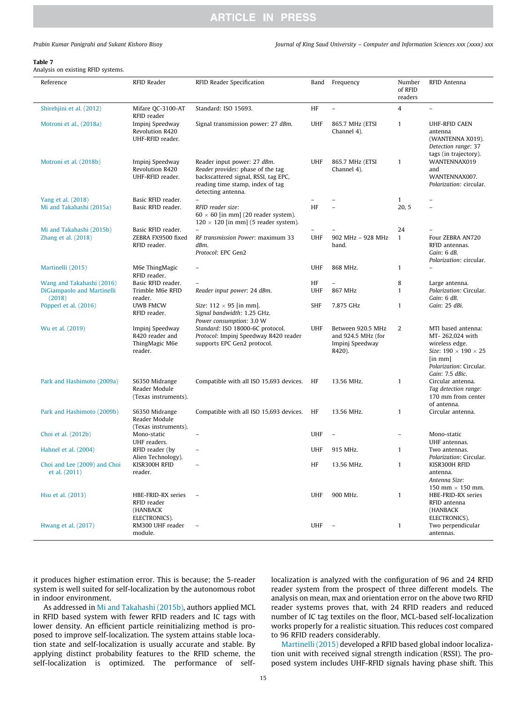*Prabin Kumar Panigrahi and Sukant Kishoro Bisoy Journal of King Saud University – Computer and Information Sciences xxx (xxxx) xxx*

### Table 7

Analysis on existing RFID systems.

| Reference                                                         | RFID Reader                                                     | RFID Reader Specification                                                                                                                                          | Band             | Frequency                                                            | Number<br>of RFID<br>readers | RFID Antenna                                                                                                                                                         |
|-------------------------------------------------------------------|-----------------------------------------------------------------|--------------------------------------------------------------------------------------------------------------------------------------------------------------------|------------------|----------------------------------------------------------------------|------------------------------|----------------------------------------------------------------------------------------------------------------------------------------------------------------------|
| Shirehjini et al. (2012)                                          | Mifare QC-3100-AT<br>RFID reader                                | Standard: ISO 15693.                                                                                                                                               | HF               | $\overline{a}$                                                       | 4                            | $\equiv$                                                                                                                                                             |
| Motroni et al., (2018a)                                           | Impinj Speedway<br>Revolution R420<br>UHF-RFID reader.          | Signal transmission power: 27 dBm.                                                                                                                                 | <b>UHF</b>       | 865.7 MHz (ETSI<br>Channel 4).                                       | $\mathbf{1}$                 | UHF-RFID CAEN<br>antenna<br>(WANTENNA X019).<br>Detection range: 37<br>tags (in trajectory).                                                                         |
| Motroni et al. (2018b)                                            | Impinj Speedway<br>Revolution R420<br>UHF-RFID reader.          | Reader input power: 27 dBm.<br>Reader provides: phase of the tag<br>backscattered signal, RSSI, tag EPC,<br>reading time stamp, index of tag<br>detecting antenna. | UHF              | 865.7 MHz (ETSI<br>Channel 4).                                       | $\mathbf{1}$                 | WANTENNAX019<br>and<br>WANTENNAX007.<br>Polarization: circular.                                                                                                      |
| Yang et al. (2018)<br>Mi and Takahashi (2015a)                    | Basic RFID reader.<br>Basic RFID reader.                        | RFID reader size:<br>$60 \times 60$ [in mm] (20 reader system).                                                                                                    | HF               |                                                                      | 1<br>20, 5                   | L.                                                                                                                                                                   |
|                                                                   |                                                                 | $120 \times 120$ [in mm] (5 reader system).                                                                                                                        |                  |                                                                      |                              |                                                                                                                                                                      |
| Mi and Takahashi (2015b)<br>Zhang et al. (2018)                   | Basic RFID reader.<br>ZEBRA FX9500 fixed<br>RFID reader.        | RF transmission Power: maximum 33<br>dBm.<br>Protocol: EPC Gen2                                                                                                    | <b>UHF</b>       | 902 MHz - 928 MHz<br>band.                                           | 24<br>$\mathbf{1}$           | Four ZEBRA AN720<br>RFID antennas.<br>Gain: 6 dB.<br>Polarization: circular.                                                                                         |
| Martinelli (2015)                                                 | M6e ThingMagic<br>RFID reader.                                  |                                                                                                                                                                    | <b>UHF</b>       | 868 MHz.                                                             | 1                            |                                                                                                                                                                      |
| Wang and Takahashi (2016)<br>DiGiampaolo and Martinelli<br>(2018) | Basic RFID reader.<br>Trimble M6e RFID<br>reader.               | Reader input power: 24 dBm.                                                                                                                                        | HF<br><b>UHF</b> | 867 MHz                                                              | 8<br>$\mathbf{1}$            | Large antenna.<br>Polarization: Circular.<br>Gain: 6 dB.                                                                                                             |
| Pöpperl et al. (2016)                                             | <b>UWB FMCW</b><br>RFID reader.                                 | Size: $112 \times 95$ [in mm].<br>Signal bandwidth: 1.25 GHz.<br>Power consumption: 3.0 W                                                                          | <b>SHF</b>       | 7.875 GHz                                                            | $\mathbf{1}$                 | Gain: 25 dBi.                                                                                                                                                        |
| Wu et al. (2019)                                                  | Impinj Speedway<br>R420 reader and<br>ThingMagic M6e<br>reader. | Standard: ISO 18000-6C protocol.<br>Protocol: Impinj Speedway R420 reader<br>supports EPC Gen2 protocol.                                                           | <b>UHF</b>       | Between 920.5 MHz<br>and 924.5 MHz (for<br>Impinj Speedway<br>R420). | 2                            | MTI based antenna:<br>MT-262,024 with<br>wireless edge.<br>Size: $190 \times 190 \times 25$<br>$\lceil$ in mm $\rceil$<br>Polarization: Circular.<br>Gain: 7.5 dBic. |
| Park and Hashimoto (2009a)                                        | S6350 Midrange<br>Reader Module<br>(Texas instruments).         | Compatible with all ISO 15,693 devices.                                                                                                                            | HF               | 13.56 MHz.                                                           | 1                            | Circular antenna.<br>Tag detection range:<br>170 mm from center<br>of antenna.                                                                                       |
| Park and Hashimoto (2009b)                                        | S6350 Midrange<br>Reader Module<br>(Texas instruments).         | Compatible with all ISO 15,693 devices.                                                                                                                            | HF               | 13.56 MHz.                                                           | $\mathbf{1}$                 | Circular antenna.                                                                                                                                                    |
| Choi et al. (2012b)                                               | Mono-static<br>UHF readers.                                     |                                                                                                                                                                    | <b>UHF</b>       | $\overline{\phantom{0}}$                                             | $\overline{\phantom{0}}$     | Mono-static<br>UHF antennas.                                                                                                                                         |
| Hahnel et al. (2004)                                              | RFID reader (by<br>Alien Technology).                           | $\overline{a}$                                                                                                                                                     | <b>UHF</b>       | 915 MHz.                                                             | $\mathbf{1}$                 | Two antennas.<br>Polarization: Circular.                                                                                                                             |
| Choi and Lee (2009) and Choi<br>et al. (2011)                     | KISR300H RFID<br>reader.                                        | $\overline{\phantom{0}}$                                                                                                                                           | HF               | 13.56 MHz.                                                           | $\mathbf{1}$                 | KISR300H RFID<br>antenna.<br>Antenna Size:                                                                                                                           |
| Hsu et al. (2013)                                                 | HBE-FRID-RX series<br>RFID reader<br>(HANBACK<br>ELECTRONICS).  |                                                                                                                                                                    | <b>UHF</b>       | 900 MHz.                                                             | $\mathbf{1}$                 | 150 mm $\times$ 150 mm.<br>HBE-FRID-RX series<br>RFID antenna<br>(HANBACK<br>ELECTRONICS).                                                                           |
| Hwang et al. (2017)                                               | RM300 UHF reader<br>module.                                     |                                                                                                                                                                    | UHF              |                                                                      | $\mathbf{1}$                 | Two perpendicular<br>antennas.                                                                                                                                       |

it produces higher estimation error. This is because; the 5-reader system is well suited for self-localization by the autonomous robot in indoor environment.

As addressed in Mi and Takahashi (2015b), authors applied MCL in RFID based system with fewer RFID readers and IC tags with lower density. An efficient particle reinitializing method is proposed to improve self-localization. The system attains stable location state and self-localization is usually accurate and stable. By applying distinct probability features to the RFID scheme, the self-localization is optimized. The performance of selflocalization is analyzed with the configuration of 96 and 24 RFID reader system from the prospect of three different models. The analysis on mean, max and orientation error on the above two RFID reader systems proves that, with 24 RFID readers and reduced number of IC tag textiles on the floor, MCL-based self-localization works properly for a realistic situation. This reduces cost compared to 96 RFID readers considerably.

Martinelli (2015) developed a RFID based global indoor localization unit with received signal strength indication (RSSI). The proposed system includes UHF-RFID signals having phase shift. This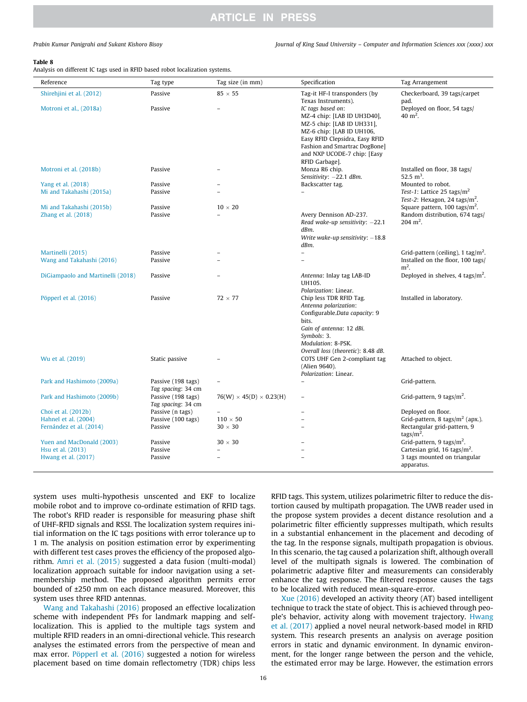*Prabin Kumar Panigrahi and Sukant Kishoro Bisoy Journal of King Saud University – Computer and Information Sciences xxx (xxxx) xxx*

### Table 8

Analysis on different IC tags used in RFID based robot localization systems.

| Reference                         | Tag type                                 | Tag size (in mm)                    | Specification                                                                                                                                                                                                                   | Tag Arrangement                                       |
|-----------------------------------|------------------------------------------|-------------------------------------|---------------------------------------------------------------------------------------------------------------------------------------------------------------------------------------------------------------------------------|-------------------------------------------------------|
| Shirehjini et al. (2012)          | Passive                                  | $85 \times 55$                      | Tag-it HF-I transponders (by<br>Texas Instruments).                                                                                                                                                                             | Checkerboard, 39 tags/carpet<br>pad.                  |
| Motroni et al., (2018a)           | Passive                                  |                                     | IC tags based on:<br>MZ-4 chip: [LAB ID UH3D40],<br>MZ-5 chip: [LAB ID UH331],<br>MZ-6 chip: [LAB ID UH106,<br>Easy RFID Clepsidra, Easy RFID<br>Fashion and Smartrac DogBone]<br>and NXP UCODE-7 chip: [Easy<br>RFID Garbage]. | Deployed on floor, 54 tags/<br>$40 \text{ m}^2$ .     |
| Motroni et al. (2018b)            | Passive                                  |                                     | Monza R6 chip.<br>Sensitivity: -22.1 dBm.                                                                                                                                                                                       | Installed on floor, 38 tags/<br>52.5 $m^3$ .          |
| Yang et al. (2018)                | Passive                                  |                                     | Backscatter tag.                                                                                                                                                                                                                | Mounted to robot.                                     |
| Mi and Takahashi (2015a)          | Passive                                  |                                     |                                                                                                                                                                                                                                 | Test-1: Lattice 25 tags/ $m2$                         |
|                                   |                                          |                                     |                                                                                                                                                                                                                                 | Test-2: Hexagon, 24 tags/ $m^2$ .                     |
| Mi and Takahashi (2015b)          | Passive                                  | $10 \times 20$                      |                                                                                                                                                                                                                                 | Square pattern, $100 \text{ tags/m}^2$ .              |
| Zhang et al. (2018)               | Passive                                  |                                     | Avery Dennison AD-237.<br>Read wake-up sensitivity: $-22.1$<br>dBm.<br>Write wake-up sensitivity: $-18.8$<br>dBm.                                                                                                               | Random distribution, 674 tags/<br>$204 \text{ m}^2$ . |
| Martinelli (2015)                 | Passive                                  |                                     | $\overline{a}$                                                                                                                                                                                                                  | Grid-pattern (ceiling), 1 tag/m <sup>2</sup> .        |
| Wang and Takahashi (2016)         | Passive                                  |                                     |                                                                                                                                                                                                                                 | Installed on the floor, 100 tags/<br>$m2$ .           |
| DiGiampaolo and Martinelli (2018) | Passive                                  |                                     | Antenna: Inlay tag LAB-ID<br>UH105.<br>Polarization: Linear.                                                                                                                                                                    | Deployed in shelves, 4 tags/ $m^2$ .                  |
| Pöpperl et al. (2016)             | Passive                                  | $72 \times 77$                      | Chip less TDR RFID Tag.<br>Antenna polarization:<br>Configurable.Data capacity: 9<br>bits.<br>Gain of antenna: 12 dBi.<br>Symbols: 3.<br>Modulation: 8-PSK.<br>Overall loss (theoretic): 8.48 dB.                               | Installed in laboratory.                              |
| Wu et al. (2019)                  | Static passive                           |                                     | COTS UHF Gen 2-compliant tag<br>(Alien 9640).<br>Polarization: Linear.                                                                                                                                                          | Attached to object.                                   |
| Park and Hashimoto (2009a)        | Passive (198 tags)<br>Tag spacing: 34 cm | $\overline{a}$                      | $\overline{a}$                                                                                                                                                                                                                  | Grid-pattern.                                         |
| Park and Hashimoto (2009b)        | Passive (198 tags)<br>Tag spacing: 34 cm | $76(W) \times 45(D) \times 0.23(H)$ |                                                                                                                                                                                                                                 | Grid-pattern, 9 tags/ $m^2$ .                         |
| Choi et al. (2012b)               | Passive (n tags)                         |                                     |                                                                                                                                                                                                                                 | Deployed on floor.                                    |
| Hahnel et al. (2004)              | Passive (100 tags)                       | $110 \times 50$                     |                                                                                                                                                                                                                                 | Grid-pattern, 8 tags/ $m2$ (apx.).                    |
| Fernández et al. (2014)           | Passive                                  | $30 \times 30$                      |                                                                                                                                                                                                                                 | Rectangular grid-pattern, 9<br>tags/ $m^2$ .          |
| Yuen and MacDonald (2003)         | Passive                                  | $30 \times 30$                      |                                                                                                                                                                                                                                 | Grid-pattern, 9 tags/m <sup>2</sup> .                 |
| Hsu et al. (2013)                 | Passive                                  | $\overline{\phantom{0}}$            |                                                                                                                                                                                                                                 | Cartesian grid, 16 tags/ $m^2$ .                      |
| Hwang et al. (2017)               | Passive                                  |                                     |                                                                                                                                                                                                                                 | 3 tags mounted on triangular<br>apparatus.            |

system uses multi-hypothesis unscented and EKF to localize mobile robot and to improve co-ordinate estimation of RFID tags. The robot's RFID reader is responsible for measuring phase shift of UHF-RFID signals and RSSI. The localization system requires initial information on the IC tags positions with error tolerance up to 1 m. The analysis on position estimation error by experimenting with different test cases proves the efficiency of the proposed algorithm. Amri et al. (2015) suggested a data fusion (multi-modal) localization approach suitable for indoor navigation using a setmembership method. The proposed algorithm permits error bounded of ±250 mm on each distance measured. Moreover, this system uses three RFID antennas.

Wang and Takahashi (2016) proposed an effective localization scheme with independent PFs for landmark mapping and selflocalization. This is applied to the multiple tags system and multiple RFID readers in an omni-directional vehicle. This research analyses the estimated errors from the perspective of mean and max error. Pöpperl et al. (2016) suggested a notion for wireless placement based on time domain reflectometry (TDR) chips less

RFID tags. This system, utilizes polarimetric filter to reduce the distortion caused by multipath propagation. The UWB reader used in the propose system provides a decent distance resolution and a polarimetric filter efficiently suppresses multipath, which results in a substantial enhancement in the placement and decoding of the tag. In the response signals, multipath propagation is obvious. In this scenario, the tag caused a polarization shift, although overall level of the multipath signals is lowered. The combination of polarimetric adaptive filter and measurements can considerably enhance the tag response. The filtered response causes the tags to be localized with reduced mean-square-error.

Xue (2016) developed an activity theory (AT) based intelligent technique to track the state of object. This is achieved through people's behavior, activity along with movement trajectory. Hwang et al. (2017) applied a novel neural network-based model in RFID system. This research presents an analysis on average position errors in static and dynamic environment. In dynamic environment, for the longer range between the person and the vehicle, the estimated error may be large. However, the estimation errors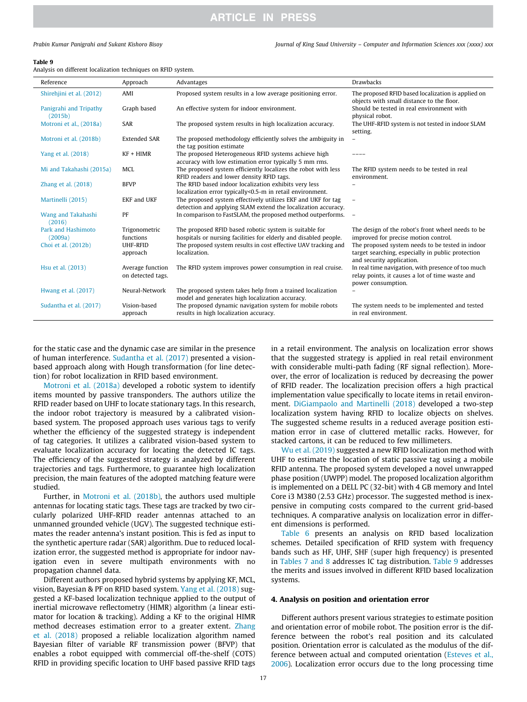### Table 9

|  | Analysis on different localization techniques on RFID system. |  |  |
|--|---------------------------------------------------------------|--|--|
|  |                                                               |  |  |

| Reference                         | Approach                              | Advantages                                                                                                                    | <b>Drawbacks</b>                                                                                                                   |
|-----------------------------------|---------------------------------------|-------------------------------------------------------------------------------------------------------------------------------|------------------------------------------------------------------------------------------------------------------------------------|
| Shirehjini et al. (2012)          | AMI                                   | Proposed system results in a low average positioning error.                                                                   | The proposed RFID based localization is applied on<br>objects with small distance to the floor.                                    |
| Panigrahi and Tripathy<br>(2015b) | Graph based                           | An effective system for indoor environment.                                                                                   | Should be tested in real environment with<br>physical robot.                                                                       |
| Motroni et al., (2018a)           | SAR                                   | The proposed system results in high localization accuracy.                                                                    | The UHF-RFID system is not tested in indoor SLAM<br>setting.                                                                       |
| Motroni et al. (2018b)            | <b>Extended SAR</b>                   | The proposed methodology efficiently solves the ambiguity in<br>the tag position estimate                                     | $\overline{\phantom{a}}$                                                                                                           |
| Yang et al. (2018)                | $KF + HIMR$                           | The proposed Heterogeneous RFID systems achieve high<br>accuracy with low estimation error typically 5 mm rms.                |                                                                                                                                    |
| Mi and Takahashi (2015a)          | MCL                                   | The proposed system efficiently localizes the robot with less<br>RFID readers and lower density RFID tags.                    | The RFID system needs to be tested in real<br>environment.                                                                         |
| Zhang et al. $(2018)$             | <b>BFVP</b>                           | The RFID based indoor localization exhibits very less<br>localization error typically<0.5-m in retail environment.            |                                                                                                                                    |
| Martinelli (2015)                 | <b>EKF</b> and UKF                    | The proposed system effectively utilizes EKF and UKF for tag<br>detection and applying SLAM extend the localization accuracy. | $\overline{\phantom{a}}$                                                                                                           |
| Wang and Takahashi<br>(2016)      | PF                                    | In comparison to FastSLAM, the proposed method outperforms.                                                                   | $\overline{\phantom{a}}$                                                                                                           |
| Park and Hashimoto<br>(2009a)     | Trigonometric<br>functions            | The proposed RFID based robotic system is suitable for<br>hospitals or nursing facilities for elderly and disabled people.    | The design of the robot's front wheel needs to be<br>improved for precise motion control.                                          |
| Choi et al. (2012b)               | <b>UHF-RFID</b><br>approach           | The proposed system results in cost effective UAV tracking and<br>localization.                                               | The proposed system needs to be tested in indoor<br>target searching, especially in public protection<br>and security application. |
| Hsu et al. (2013)                 | Average function<br>on detected tags. | The RFID system improves power consumption in real cruise.                                                                    | In real time navigation, with presence of too much<br>relay points, it causes a lot of time waste and<br>power consumption.        |
| Hwang et al. (2017)               | Neural-Network                        | The proposed system takes help from a trained localization<br>model and generates high localization accuracy.                 |                                                                                                                                    |
| Sudantha et al. (2017)            | Vision-based<br>approach              | The proposed dynamic navigation system for mobile robots<br>results in high localization accuracy.                            | The system needs to be implemented and tested<br>in real environment.                                                              |

for the static case and the dynamic case are similar in the presence of human interference. Sudantha et al. (2017) presented a visionbased approach along with Hough transformation (for line detection) for robot localization in RFID based environment.

Motroni et al. (2018a) developed a robotic system to identify items mounted by passive transponders. The authors utilize the RFID reader based on UHF to locate stationary tags. In this research, the indoor robot trajectory is measured by a calibrated visionbased system. The proposed approach uses various tags to verify whether the efficiency of the suggested strategy is independent of tag categories. It utilizes a calibrated vision-based system to evaluate localization accuracy for locating the detected IC tags. The efficiency of the suggested strategy is analyzed by different trajectories and tags. Furthermore, to guarantee high localization precision, the main features of the adopted matching feature were studied.

Further, in Motroni et al. (2018b), the authors used multiple antennas for locating static tags. These tags are tracked by two circularly polarized UHF-RFID reader antennas attached to an unmanned grounded vehicle (UGV). The suggested technique estimates the reader antenna's instant position. This is fed as input to the synthetic aperture radar (SAR) algorithm. Due to reduced localization error, the suggested method is appropriate for indoor navigation even in severe multipath environments with no propagation channel data.

Different authors proposed hybrid systems by applying KF, MCL, vision, Bayesian & PF on RFID based system. Yang et al. (2018) suggested a KF-based localization technique applied to the output of inertial microwave reflectometry (HIMR) algorithm (a linear estimator for location & tracking). Adding a KF to the original HIMR method decreases estimation error to a greater extent. Zhang et al. (2018) proposed a reliable localization algorithm named Bayesian filter of variable RF transmission power (BFVP) that enables a robot equipped with commercial off-the-shelf (COTS) RFID in providing specific location to UHF based passive RFID tags in a retail environment. The analysis on localization error shows that the suggested strategy is applied in real retail environment with considerable multi-path fading (RF signal reflection). Moreover, the error of localization is reduced by decreasing the power of RFID reader. The localization precision offers a high practical implementation value specifically to locate items in retail environment. DiGiampaolo and Martinelli (2018) developed a two-step localization system having RFID to localize objects on shelves. The suggested scheme results in a reduced average position estimation error in case of cluttered metallic racks. However, for stacked cartons, it can be reduced to few millimeters.

Wu et al. (2019) suggested a new RFID localization method with UHF to estimate the location of static passive tag using a mobile RFID antenna. The proposed system developed a novel unwrapped phase position (UWPP) model. The proposed localization algorithm is implemented on a DELL PC (32-bit) with 4 GB memory and Intel Core i3 M380 (2.53 GHz) processor. The suggested method is inexpensive in computing costs compared to the current grid-based techniques. A comparative analysis on localization error in different dimensions is performed.

Table 6 presents an analysis on RFID based localization schemes. Detailed specification of RFID system with frequency bands such as HF, UHF, SHF (super high frequency) is presented in Tables 7 and 8 addresses IC tag distribution. Table 9 addresses the merits and issues involved in different RFID based localization systems.

### 4. Analysis on position and orientation error

Different authors present various strategies to estimate position and orientation error of mobile robot. The position error is the difference between the robot's real position and its calculated position. Orientation error is calculated as the modulus of the difference between actual and computed orientation (Esteves et al., 2006). Localization error occurs due to the long processing time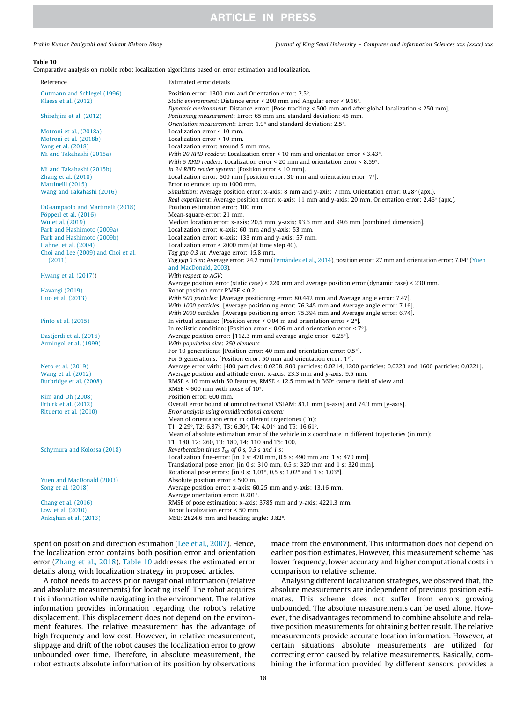*Prabin Kumar Panigrahi and Sukant Kishoro Bisoy Journal of King Saud University – Computer and Information Sciences xxx (xxxx) xxx*

### Table 10

Comparative analysis on mobile robot localization algorithms based on error estimation and localization.

| Reference                           | Estimated error details                                                                                                  |  |
|-------------------------------------|--------------------------------------------------------------------------------------------------------------------------|--|
| Gutmann and Schlegel (1996)         | Position error: 1300 mm and Orientation error: 2.5°.                                                                     |  |
| Klaess et al. (2012)                | Static environment: Distance error < 200 mm and Angular error < $9.16^{\circ}$ .                                         |  |
|                                     | Dynamic environment: Distance error: [Pose tracking < 500 mm and after global localization < 250 mm].                    |  |
| Shirehjini et al. (2012)            | Positioning measurement: Error: 65 mm and standard deviation: 45 mm.                                                     |  |
|                                     | Orientation measurement: Error: $1.9^{\circ}$ and standard deviation: $2.5^{\circ}$ .                                    |  |
| Motroni et al., (2018a)             | Localization error $\leq 10$ mm.                                                                                         |  |
| Motroni et al. (2018b)              | Localization error < 10 mm.                                                                                              |  |
| Yang et al. (2018)                  | Localization error: around 5 mm rms.                                                                                     |  |
| Mi and Takahashi (2015a)            | With 20 RFID readers: Localization error < 10 mm and orientation error < $3.43^{\circ}$ .                                |  |
|                                     | With 5 RFID readers: Localization error $\leq$ 20 mm and orientation error $\leq$ 8.59 $^{\circ}$ .                      |  |
| Mi and Takahashi (2015b)            | In 24 RFID reader system: [Position error $\leq$ 10 mm].                                                                 |  |
| Zhang et al. (2018)                 | Localization error: 500 mm [position error: 30 mm and orientation error: $7^{\circ}$ ].                                  |  |
| Martinelli (2015)                   | Error tolerance: up to 1000 mm.                                                                                          |  |
| Wang and Takahashi (2016)           | Simulation: Average position error: x-axis: 8 mm and y-axis: 7 mm. Orientation error: 0.28° (apx.).                      |  |
|                                     | Real experiment: Average position error: x-axis: 11 mm and y-axis: 20 mm. Orientation error: 2.46° (apx.).               |  |
| DiGiampaolo and Martinelli (2018)   | Position estimation error: 100 mm.                                                                                       |  |
| Pöpperl et al. (2016)               | Mean-square-error: 21 mm.                                                                                                |  |
| Wu et al. (2019)                    | Median location error: x-axis: 20.5 mm, y-axis: 93.6 mm and 99.6 mm [combined dimension].                                |  |
| Park and Hashimoto (2009a)          | Localization error: x-axis: 60 mm and y-axis: 53 mm.                                                                     |  |
| Park and Hashimoto (2009b)          | Localization error: x-axis: 133 mm and y-axis: 57 mm.                                                                    |  |
| Hahnel et al. (2004)                | Localization error < 2000 mm (at time step 40).                                                                          |  |
| Choi and Lee (2009) and Choi et al. | Tag gap 0.3 m: Average error: 15.8 mm.                                                                                   |  |
| (2011)                              | Tag gap 0.5 m: Average error: 24.2 mm (Fernández et al., 2014), position error: 27 mm and orientation error: 7.04° (Yuen |  |
|                                     | and MacDonald, 2003).                                                                                                    |  |
| Hwang et al. (2017))                | With respect to AGV:                                                                                                     |  |
|                                     | Average position error (static case) < 220 mm and average position error (dynamic case) < 230 mm.                        |  |
| Havangi (2019)                      | Robot position error RMSE < 0.2.                                                                                         |  |
| Huo et al. (2013)                   | With 500 particles: [Average positioning error: 80.442 mm and Average angle error: 7.47].                                |  |
|                                     | With 1000 particles: [Average positioning error: 76.345 mm and Average angle error: 7.16].                               |  |
|                                     | With 2000 particles: [Average positioning error: 75.394 mm and Average angle error: 6.74].                               |  |
| Pinto et al. (2015)                 | In virtual scenario: [Position error < 0.04 m and orientation error < $2^{\circ}$ ].                                     |  |
|                                     | In realistic condition: [Position error < 0.06 m and orientation error < $7^{\circ}$ ].                                  |  |
| Dastjerdi et al. (2016)             | Average position error: [112.3 mm and average angle error: $6.25^{\circ}$ ].                                             |  |
| Armingol et al. (1999)              | With population size: 250 elements                                                                                       |  |
|                                     | For 10 generations: [Position error: 40 mm and orientation error: $0.5^{\circ}$ ].                                       |  |
|                                     | For 5 generations: [Position error: 50 mm and orientation error: $1^{\circ}$ ].                                          |  |
| Neto et al. (2019)                  | Average error with: [400 particles: 0.0238, 800 particles: 0.0214, 1200 particles: 0.0223 and 1600 particles: 0.0221].   |  |
| Wang et al. (2012)                  | Average position and attitude error: x-axis: 23.3 mm and y-axis: 9.5 mm.                                                 |  |
| Burbridge et al. (2008)             | RMSE < 10 mm with 50 features, RMSE < 12.5 mm with $360^{\circ}$ camera field of view and                                |  |
|                                     | RMSE < 600 mm with noise of $10^{\circ}$ .                                                                               |  |
| Kim and Oh (2008)                   | Position error: 600 mm.                                                                                                  |  |
| Erturk et al. (2012)                | Overall error bound of omnidirectional VSLAM: 81.1 mm [x-axis] and 74.3 mm [y-axis].                                     |  |
| Rituerto et al. (2010)              | Error analysis using omnidirectional camera:                                                                             |  |
|                                     | Mean of orientation error in different trajectories (Tn):                                                                |  |
|                                     | T1: 2.29°, T2: 6.87°, T3: 6.30°, T4: 4.01° and T5: 16.61°.                                                               |  |
|                                     | Mean of absolute estimation error of the vehicle in z coordinate in different trajectories (in mm):                      |  |
|                                     | T1: 180, T2: 260, T3: 180, T4: 110 and T5: 100.                                                                          |  |
| Schymura and Kolossa (2018)         | Reverberation times $T_{60}$ of 0 s, 0.5 s and 1 s:                                                                      |  |
|                                     | Localization fine-error: $\left[ \text{in 0 s: 470 mm}, 0.5 \text{ s: 490 mm} \right]$ and 1 s: 470 mm.                  |  |
|                                     | Translational pose error: [in 0 s: 310 mm, 0.5 s: 320 mm and 1 s: 320 mm].                                               |  |
|                                     | Rotational pose errors: [in 0 s: 1.01 $^{\circ}$ , 0.5 s: 1.02 $^{\circ}$ and 1 s: 1.03 $^{\circ}$ ].                    |  |
| Yuen and MacDonald (2003)           | Absolute position error < 500 m.                                                                                         |  |
| Song et al. (2018)                  | Average position error: x-axis: 60.25 mm and y-axis: 13.16 mm.                                                           |  |
|                                     | Average orientation error: 0.201°.                                                                                       |  |
| Chang et al. (2016)                 | RMSE of pose estimation: x-axis: 3785 mm and y-axis: 4221.3 mm.                                                          |  |
| Low et al. (2010)                   | Robot localization error < 50 mm.                                                                                        |  |
| Ankışhan et al. (2013)              | MSE: $2824.6$ mm and heading angle: $3.82^\circ$ .                                                                       |  |

spent on position and direction estimation (Lee et al., 2007). Hence, the localization error contains both position error and orientation error (Zhang et al., 2018). Table 10 addresses the estimated error details along with localization strategy in proposed articles.

A robot needs to access prior navigational information (relative and absolute measurements) for locating itself. The robot acquires this information while navigating in the environment. The relative information provides information regarding the robot's relative displacement. This displacement does not depend on the environment features. The relative measurement has the advantage of high frequency and low cost. However, in relative measurement, slippage and drift of the robot causes the localization error to grow unbounded over time. Therefore, in absolute measurement, the robot extracts absolute information of its position by observations made from the environment. This information does not depend on earlier position estimates. However, this measurement scheme has lower frequency, lower accuracy and higher computational costs in comparison to relative scheme.

Analysing different localization strategies, we observed that, the absolute measurements are independent of previous position estimates. This scheme does not suffer from errors growing unbounded. The absolute measurements can be used alone. However, the disadvantages recommend to combine absolute and relative position measurements for obtaining better result. The relative measurements provide accurate location information. However, at certain situations absolute measurements are utilized for correcting error caused by relative measurements. Basically, combining the information provided by different sensors, provides a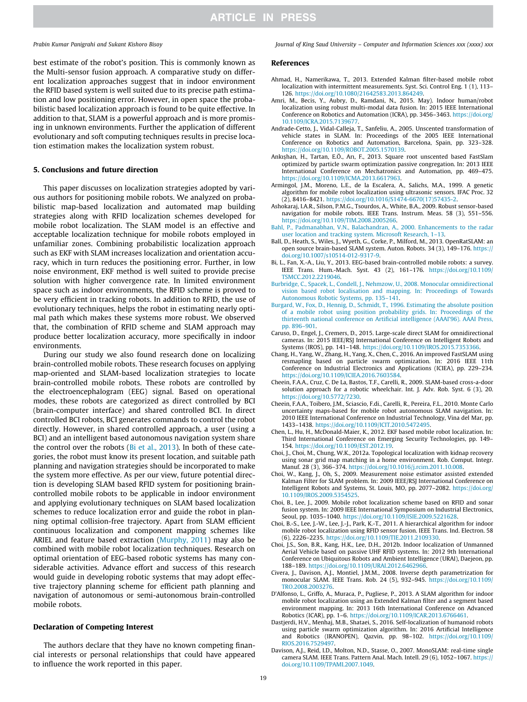best estimate of the robot's position. This is commonly known as the Multi-sensor fusion approach. A comparative study on different localization approaches suggest that in indoor environment the RFID based system is well suited due to its precise path estimation and low positioning error. However, in open space the probabilistic based localization approach is found to be quite effective. In addition to that, SLAM is a powerful approach and is more promising in unknown environments. Further the application of different evolutionary and soft computing techniques results in precise location estimation makes the localization system robust.

### 5. Conclusions and future direction

This paper discusses on localization strategies adopted by various authors for positioning mobile robots. We analyzed on probabilistic map-based localization and automated map building strategies along with RFID localization schemes developed for mobile robot localization. The SLAM model is an effective and acceptable localization technique for mobile robots employed in unfamiliar zones. Combining probabilistic localization approach such as EKF with SLAM increases localization and orientation accuracy, which in turn reduces the positioning error. Further, in low noise environment, EKF method is well suited to provide precise solution with higher convergence rate. In limited environment space such as indoor environments, the RFID scheme is proved to be very efficient in tracking robots. In addition to RFID, the use of evolutionary techniques, helps the robot in estimating nearly optimal path which makes these systems more robust. We observed that, the combination of RFID scheme and SLAM approach may produce better localization accuracy, more specifically in indoor environments.

During our study we also found research done on localizing brain-controlled mobile robots. These research focuses on applying map-oriented and SLAM-based localization strategies to locate brain-controlled mobile robots. These robots are controlled by the electroencephalogram (EEG) signal. Based on operational modes, these robots are categorized as direct controlled by BCI (brain-computer interface) and shared controlled BCI. In direct controlled BCI robots, BCI generates commands to control the robot directly. However, in shared controlled approach, a user (using a BCI) and an intelligent based autonomous navigation system share the control over the robots ( $Bi$  et al., 2013). In both of these categories, the robot must know its present location, and suitable path planning and navigation strategies should be incorporated to make the system more effective. As per our view, future potential direction is developing SLAM based RFID system for positioning braincontrolled mobile robots to be applicable in indoor environment and applying evolutionary techniques on SLAM based localization schemes to reduce localization error and guide the robot in planning optimal collision-free trajectory. Apart from SLAM efficient continuous localization and component mapping schemes like ARIEL and feature based extraction (Murphy, 2011) may also be combined with mobile robot localization techniques. Research on optimal orientation of EEG-based robotic systems has many considerable activities. Advance effort and success of this research would guide in developing robotic systems that may adopt effective trajectory planning scheme for efficient path planning and navigation of autonomous or semi-autonomous brain-controlled mobile robots.

### Declaration of Competing Interest

The authors declare that they have no known competing financial interests or personal relationships that could have appeared to influence the work reported in this paper.

*Prabin Kumar Panigrahi and Sukant Kishoro Bisoy Journal of King Saud University – Computer and Information Sciences xxx (xxxx) xxx*

### References

- Ahmad, H., Namerikawa, T., 2013. Extended Kalman filter-based mobile robot localization with intermittent measurements. Syst. Sci. Control Eng. 1 (1), 113– 126. https://doi.org/10.1080/21642583.2013.864249.
- Amri, M., Becis, Y., Aubry, D., Ramdani, N., 2015. May). Indoor human/robot localization using robust multi-modal data fusion. In: 2015 IEEE International Conference on Robotics and Automation (ICRA), pp. 3456–3463. https://doi.org/ 10.1109/ICRA.2015.7139677.
- Andrade-Cetto, J., Vidal-Calleja, T., Sanfeliu, A., 2005. Unscented transformation of vehicle states in SLAM. In: Proceedings of the 2005 IEEE International Conference on Robotics and Automation, Barcelona, Spain, pp. 323–328. https://doi.org/10.1109/ROBOT.2005.1570139.
- Ankıshan, H., Tartan, E.Ö., Arı, F., 2013. Square root unscented based FastSlam optimized by particle swarm optimization passive congregation. In: 2013 IEEE International Conference on Mechatronics and Automation, pp. 469–475. https://doi.org/10.1109/ICMA.2013.6617963.
- Armingol, J.M., Moreno, L.E., de la Escalera, A., Salichs, M.A., 1999. A genetic algorithm for mobile robot localization using ultrasonic sensors. IFAC Proc. 32 (2), 8416–8421. https://doi.org/10.1016/S1474-6670(17)57435-2.
- Ashokaraj, I.A.R., Silson, P.M.G., Tsourdos, A., White, B.A., 2009. Robust sensor-based navigation for mobile robots. IEEE Trans. Instrum. Meas. 58 (3), 551–556. https://doi.org/10.1109/TIM.2008.2005266.
- Bahl, P., Padmanabhan, V.N., Balachandran, A., 2000. Enhancements to the radar user location and tracking system. Microsoft Research, 1–13.
- Ball, D., Heath, S., Wiles, J., Wyeth, G., Corke, P., Milford, M., 2013. OpenRatSLAM: an open source brain-based SLAM system. Auton. Robots. 34 (3), 149–176. https:// doi.org/10.1007/s10514-012-9317-9.
- Bi, L., Fan, X.-A., Liu, Y., 2013. EEG-based brain-controlled mobile robots: a survey. IEEE Trans. Hum.-Mach. Syst. 43 (2), 161–176. https://doi.org/10.1109/ TSMCC.2012.2219046.
- Burbridge, C., Spacek, L., Condell, J., Nehmzow, U., 2008. Monocular omnidirectional vision based robot localisation and mapping. In: Proceedings of Towards Autonomous Robotic Systems, pp. 135–141.
- Burgard, W., Fox, D., Hennig, D., Schmidt, T., 1996. Estimating the absolute position of a mobile robot using position probability grids. In: Proceedings of the thirteenth national conference on Artificial intelligence (AAAI'96). AAAI Press, pp. 896–901.
- Caruso, D., Engel, J., Cremers, D., 2015. Large-scale direct SLAM for omnidirectional cameras. In: 2015 IEEE/RSJ International Conference on Intelligent Robots and Systems (IROS), pp. 141–148. https://doi.org/10.1109/IROS.2015.7353366.
- Chang, H., Yang, W., Zhang, H., Yang, X., Chen, C., 2016. An improved FastSLAM using resmapling based on particle swarm optimization. In: 2016 IEEE 11th Conference on Industrial Electronics and Applications (ICIEA), pp. 229–234. https://doi.org/10.1109/ICIEA.2016.7603584.
- Cheein, F.A.A., Cruz, C. De La, Bastos, T.F., Carelli, R., 2009. SLAM-based cross-a-door solution approach for a robotic wheelchair. Int. J. Adv. Rob. Syst. 6 (3), 20. https://doi.org/10.5772/7230.
- Cheein, F.A.A., Toibero, J.M., Sciascio, F.di., Carelli, R., Pereira, F.L., 2010. Monte Carlo uncertainty maps-based for mobile robot autonomous SLAM navigation. In: 2010 IEEE International Conference on Industrial Technology, Vina del Mar, pp. 1433–1438. https://doi.org/10.1109/ICIT.2010.5472495.
- Chen, L., Hu, H., McDonald-Maier, K., 2012. EKF based mobile robot localization. In: Third International Conference on Emerging Security Technologies, pp. 149– 154. https://doi.org/10.1109/EST.2012.19.
- Choi, J., Choi, M., Chung, W.K., 2012a. Topological localization with kidnap recovery using sonar grid map matching in a home environment. Rob. Comput. Integr. Manuf. 28 (3), 366–374. https://doi.org/10.1016/j.rcim.2011.10.008.
- Choi, W., Kang, J., Oh, S., 2009. Measurement noise estimator assisted extended Kalman Filter for SLAM problem. In: 2009 IEEE/RSJ International Conference on Intelligent Robots and Systems, St. Louis, MO, pp. 2077–2082. https://doi.org/ 10.1109/IROS.2009.5354525.
- Choi, B., Lee, J., 2009. Mobile robot localization scheme based on RFID and sonar fusion system. In: 2009 IEEE International Symposium on Industrial Electronics, Seoul, pp. 1035–1040. https://doi.org/10.1109/ISIE.2009.5221628.
- Choi, B.-S., Lee, J.-W., Lee, J.-J., Park, K.-T., 2011. A hierarchical algorithm for indoor mobile robot localization using RFID sensor fusion. IEEE Trans. Ind. Electron. 58 (6), 2226–2235. https://doi.org/10.1109/TIE.2011.2109330.
- Choi, J.S., Son, B.R., Kang, H.K., Lee, D.H., 2012b. Indoor localization of Unmanned Aerial Vehicle based on passive UHF RFID systems. In: 2012 9th International Conference on Ubiquitous Robots and Ambient Intelligence (URAI), Daejeon, pp. 188–189. https://doi.org/10.1109/URAI.2012.6462966.
- Civera, J., Davison, A.J., Montiel, J.M.M., 2008. Inverse depth parametrization for monocular SLAM. IEEE Trans. Rob. 24 (5), 932–945. https://doi.org/10.1109/ TRO.2008.2003276.
- D'Alfonso, L., Griffo, A., Muraca, P., Pugliese, P., 2013. A SLAM algorithm for indoor mobile robot localization using an Extended Kalman filter and a segment based environment mapping. In: 2013 16th International Conference on Advanced Robotics (ICAR), pp. 1–6. https://doi.org/10.1109/ICAR.2013.6766461.
- Dastjerdi, H.V., Menhaj, M.B., Shataei, S., 2016. Self-localization of humanoid robots using particle swarm optimization algorithm. In: 2016 Artificial Intelligence and Robotics (IRANOPEN), Qazvin, pp. 98–102. https://doi.org/10.1109/ RIOS.2016.7529497.
- Davison, A.J., Reid, I.D., Molton, N.D., Stasse, O., 2007. MonoSLAM: real-time single camera SLAM. IEEE Trans. Pattern Anal. Mach. Intell. 29 (6), 1052–1067. https:// doi.org/10.1109/TPAMI.2007.1049.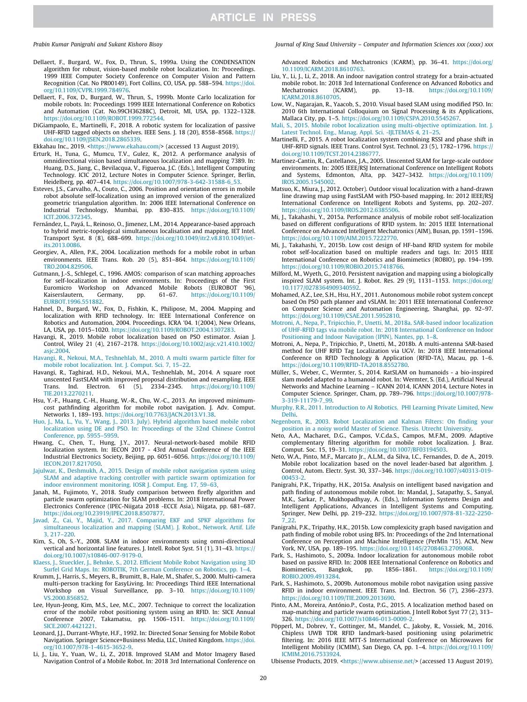- Dellaert, F., Burgard, W., Fox, D., Thrun, S., 1999a. Using the CONDENSATION algorithm for robust, vision-based mobile robot localization. In: Proceedings. 1999 IEEE Computer Society Conference on Computer Vision and Pattern Recognition (Cat. No PR00149), Fort Collins, CO, USA, pp. 588–594. https://doi. org/10.1109/CVPR.1999.784976.
- Dellaert, F., Fox, D., Burgard, W., Thrun, S., 1999b. Monte Carlo localization for mobile robots. In: Proceedings 1999 IEEE International Conference on Robotics and Automation (Cat. No.99CH36288C), Detroit, MI, USA, pp. 1322–1328. https://doi.org/10.1109/ROBOT.1999.772544.
- DiGiampaolo, E., Martinelli, F., 2018. A robotic system for localization of passive UHF-RFID tagged objects on shelves. IEEE Sens. J. 18 (20), 8558–8568. https:// doi.org/10.1109/JSEN.2018.2865339.
- Ekkahau Inc., 2019. <https://www.ekahau.com/> (accessed 13 August 2019).
- Erturk, H., Tuna, G., Mumcu, T.V., Gulez, K., 2012. A performance analysis of omnidirectional vision based simultaneous localization and mapping 7389. In: Huang, D.S., Jiang, C., Bevilacqua, V., Figueroa, J.C. (Eds.), Intelligent Computing Technology. ICIC 2012, Lecture Notes in Computer Science. Springer, Berlin, Heidelberg, pp. 407–414. https://doi.org/10.1007/978-3-642-31588-6\_53.
- Esteves, J.S., Carvalho, A., Couto, C., 2006. Position and orientation errors in mobile robot absolute self-localization using an improved version of the generalized geometric triangulation algorithm. In: 2006 IEEE International Conference on Industrial Technology, Mumbai, pp. 830–835. https://doi.org/10.1109/ ICIT.2006.372345.
- Fernández, L., Payá, L., Reinoso, O., Jimenez, L.M., 2014. Appearance-based approach to hybrid metric-topological simultaneous localisation and mapping. IET Intel. Transport Syst. 8 (8), 688–699. https://doi.org/10.1049/itr2.v8.810.1049/ietits.2013.0086
- Georgiev, A., Allen, P.K., 2004. Localization methods for a mobile robot in urban environments. IEEE Trans. Rob. 20 (5), 851–864. https://doi.org/10.1109/ TRO.2004.829506.
- Gutmann, J.-S., Schlegel, C., 1996. AMOS: comparison of scan matching approaches for self-localization in indoor environments. In: Proceedings of the First Euromicro Workshop on Advanced Mobile Robots (EUROBOT '96), Kaiserslautern, Germany, pp. 61–67. https://doi.org/10.1109/ EURBOT.1996.551882.
- Hahnel, D., Burgard, W., Fox, D., Fishkin, K., Philipose, M., 2004. Mapping and localization with RFID technology. In: IEEE International Conference on Robotics and Automation, 2004. Proceedings. ICRA '04. 1(2004), New Orleans, LA, USA, pp. 1015–1020. https://doi.org/10.1109/ROBOT.2004.1307283.
- Havangi, R., 2019. Mobile robot localization based on PSO estimator. Asian J. Control, Wiley 21 (4), 2167–2178. https://doi.org/10.1002/asjc.v21.410.1002/ asjc.2004.
- Havangi, R., Nekoui, M.A., Teshnehlab, M., 2010. A multi swarm particle filter for mobile robot localization. Int. J. Comput. Sci. 7, 15–22.
- Havangi, R., Taghirad, H.D., Nekoui, M.A., Teshnehlab, M., 2014. A square root unscented FastSLAM with improved proposal distribution and resampling. IEEE Trans. Ind. Electron. 61 (5), 2334–2345. https://doi.org/10.1109/ TIE.2013.2270211.
- Hsu, Y.-F., Huang, C.-H., Huang, W.-R., Chu, W.-C., 2013. An improved minimumcost pathfinding algorithm for mobile robot navigation. J. Adv. Comput. Networks 1, 189–193. https://doi.org/10.7763/JACN.2013.V1.38.
- Huo, J., Ma, L., Yu, Y., Wang, J., 2013. July). Hybrid algorithm based mobile robot localization using DE and PSO. In: Proceedings of the 32nd Chinese Control Conference, pp. 5955–5959. Hwang, C., Chen, T., Hung, J.Y., 2017. Neural-network-based mobile RFID
- localization system. In: IECON 2017 43rd Annual Conference of the IEEE Industrial Electronics Society, Beijing, pp. 6051–6056. https://doi.org/10.1109/ IECON.2017.8217050.
- Jajulwar, K., Deshmukh, A., 2015. Design of mobile robot navigation system using SLAM and adaptive tracking controller with particle swarm optimization for indoor environment monitoring. IOSR J. Comput. Eng. 17, 59–63.
- Janah, M., Fujimoto, Y., 2018. Study comparison between firefly algorithm and particle swarm optimization for SLAM problems. In: 2018 International Power Electronics Conference (IPEC-Niigata 2018 -ECCE Asia), Niigata, pp. 681–687. https://doi.org/10.23919/IPEC.2018.8507877.
- Javad, Z., Cai, Y., Majid, Y., 2017. Comparing EKF and SPKF algorithms for simultaneous localization and mapping (SLAM). J. Robot., Network. Artif. Life 3, 217–220.
- Kim, S., Oh, S.-Y., 2008. SLAM in indoor environments using omni-directional vertical and horizontal line features. J. Intell. Robot Syst. 51 (1), 31–43. https:// doi.org/10.1007/s10846-007-9179-0.
- Klaess, J., Stueckler, J., Behnke, S., 2012. Efficient Mobile Robot Navigation using 3D Surfel Grid Maps. In: ROBOTIK, 7th German Conference on Robotics, pp. 1–4.
- Krumm, J., Harris, S., Meyers, B., Brumitt, B., Hale, M., Shafer, S., 2000. Multi-camera multi-person tracking for EasyLiving. In: Proceedings Third IEEE International Workshop on Visual Surveillance, pp. 3–10. https://doi.org/10.1109/ VS.2000.856852.
- Lee, Hyun-Jeong, Kim, M.S., Lee, M.C., 2007. Technique to correct the localization error of the mobile robot positioning system using an RFID. In: SICE Annual Conference 2007, Takamatsu, pp. 1506–1511. https://doi.org/10.1109/ SICE.2007.4421221.
- Leonard, J.J., Durrant-Whyte, H.F., 1992. In: Directed Sonar Sensing for Mobile Robot Navigation. Springer Science+Business Media, LLC, United Kingdom. https://doi. org/10.1007/978-1-4615-3652-9.
- Li, J., Liu, Y., Yuan, W., Li, Z., 2018. Improved SLAM and Motor Imagery Based Navigation Control of a Mobile Robot. In: 2018 3rd International Conference on

### *Prabin Kumar Panigrahi and Sukant Kishoro Bisoy Journal of King Saud University – Computer and Information Sciences xxx (xxxx) xxx*

Advanced Robotics and Mechatronics (ICARM), pp. 36–41. https://doi.org/ 10.1109/ICARM.2018.8610763.

- Liu, Y., Li, J., Li, Z., 2018. An indoor navigation control strategy for a brain-actuated mobile robot. In: 2018 3rd International Conference on Advanced Robotics and Mechatronics (ICARM), pp. 13–18. https://doi.org/10.1109/ ICARM.2018.8610705.
- Low, W., Nagarajan, R., Yaacob, S., 2010. Visual based SLAM using modified PSO. In: 2010 6th International Colloquium on Signal Processing & its Applications, Mallaca City, pp. 1–5. https://doi.org/10.1109/CSPA.2010.5545267.
- Mali, S., 2015. Mobile robot localization using multi-objective optimization. Int. J. Latest Technol. Eng., Manag. Appl. Sci. -IJLTEMAS 4, 21–25.
- Martinelli, F., 2015. A robot localization system combining RSSI and phase shift in UHF-RFID signals. IEEE Trans. Control Syst. Technol. 23 (5), 1782–1796. https:// doi.org/10.1109/TCST.2014.2386777.
- Martinez-Cantin, R., Castellanos, J.A., 2005. Unscented SLAM for large-scale outdoor environments. In: 2005 IEEE/RSJ International Conference on Intelligent Robots and Systems, Edmonton, Alta, pp. 3427–3432. https://doi.org/10.1109/ IROS.2005.1545002.
- Matsuo, K., Miura, J., 2012. October). Outdoor visual localization with a hand-drawn line drawing map using FastSLAM with PSO-based mapping. In: 2012 IEEE/RSJ International Conference on Intelligent Robots and Systems, pp. 202–207. https://doi.org/10.1109/IROS.2012.6385506.
- Mi, J., Takahashi, Y., 2015a. Performance analysis of mobile robot self-localization based on different configurations of RFID system. In: 2015 IEEE International Conference on Advanced Intelligent Mechatronics (AIM), Busan, pp. 1591–1596. https://doi.org/10.1109/AIM.2015.7222770.
- Mi, J., Takahashi, Y., 2015b. Low cost design of HF-band RFID system for mobile robot self-localization based on multiple readers and tags. In: 2015 IEEE International Conference on Robotics and Biomimetics (ROBIO), pp. 194–199. https://doi.org/10.1109/ROBIO.2015.7418766.
- Milford, M., Wyeth, G., 2010. Persistent navigation and mapping using a biologically inspired SLAM system. Int. J. Robot. Res. 29 (9), 1131–1153. https://doi.org/ 10.1177/0278364909340592.
- Mohamed, A.Z., Lee, S.H., Hsu, H.Y., 2011. Autonomous mobile robot system concept based On PSO path planner and vSLAM. In: 2011 IEEE International Conference on Computer Science and Automation Engineering, Shanghai, pp. 92–97. https://doi.org/10.1109/CSAE.2011.5952810.
- Motroni, A., Nepa, P., Tripicchio, P., Unetti, M., 2018a. SAR-based indoor localization of UHF-RFID tags via mobile robot. In: 2018 International Conference on Indoor Positioning and Indoor Navigation (IPIN), Nantes, pp. 1–8.
- Motroni, A., Nepa, P., Tripicchio, P., Unetti, M., 2018b. A multi-antenna SAR-based method for UHF RFID Tag Localization via UGV. In: 2018 IEEE International Conference on RFID Technology & Application (RFID-TA), Macau, pp. 1–6. https://doi.org/10.1109/RFID-TA.2018.8552780.
- Müller, S., Weber, C., Wermter, S., 2014. RatSLAM on humanoids a bio-inspired slam model adapted to a humanoid robot. In: Wermter, S. (Ed.), Artificial Neural Networks and Machine Learning – ICANN 2014, ICANN 2014, Lecture Notes in Computer Science. Springer, Cham, pp. 789–796. https://doi.org/10.1007/978- 3-319-11179-7\_99.
- Murphy, R.R., 2011. Introduction to AI Robotics. PHI Learning Private Limited, New Delhi.
- Negenborn, R., 2003. Robot Localization and Kalman Filters: On finding your position in a noisy world Master of Science. Thesis. Utrecht University.
- Neto, A.A., Macharet, D.G., Campos, V.C.da.S., Campos, M.F.M., 2009. Adaptive complementary filtering algorithm for mobile robot localization. J. Braz. Comput. Soc. 15, 19–31. https://doi.org/10.1007/BF03194503.
- Neto, W.A., Pinto, M.F., Marcato Jr., A.L.M., da Silva, I.C., Fernandes, D. de A., 2019. Mobile robot localization based on the novel leader-based bat algorithm. J. Control, Autom. Electr. Syst. 30, 337–346. https://doi.org/10.1007/s40313-019-  $00453 -$
- Panigrahi, P.K., Tripathy, H.K., 2015a. Analysis on intelligent based navigation and path finding of autonomous mobile robot. In: Mandal, J., Satapathy, S., Sanyal, M.K., Sarkar, P., Mukhopadhyay, A. (Eds.), Information Systems Design and Intelligent Applications, Advances in Intelligent Systems and Computing. Springer, New Delhi, pp. 219–232. https://doi.org/10.1007/978-81-322-2250- 7\_22.
- Panigrahi, P.K., Tripathy, H.K., 2015b. Low complexicity graph based navigation and path finding of mobile robot using BFS. In: Proceedings of the 2nd International Conference on Perception and Machine Intelligence (PerMIn '15). ACM, New York, NY, USA, pp. 189–195. https://doi.org/10.1145/2708463.2709068. Park, S., Hashimoto, S., 2009a. Indoor localization for autonomous mobile robot
- based on passive RFID. In: 2008 IEEE International Conference on Robotics and Biomimetics, Bangkok, pp. 1856–1861. https://doi.org/10.1109/ ROBIO.2009.4913284.
- Park, S., Hashimoto, S., 2009b. Autonomous mobile robot navigation using passive RFID in indoor environment. IEEE Trans. Ind. Electron. 56 (7), 2366–2373. https://doi.org/10.1109/TIE.2009.2013690.
- Pinto, A.M., Moreira, António.P., Costa, P.G., 2015. A localization method based on map-matching and particle swarm optimization. J Intell Robot Syst 77 (2), 313– 326. https://doi.org/10.1007/s10846-013-0009-2.
- Pöpperl, M., Dobrev, Y., Gottinger, M., Mandel, C., Jakoby, R., Vossiek, M., 2016. Chipless UWB TDR RFID landmark-based positioning using polarimetric filtering. In: 2016 IEEE MTT-S International Conference on Microwaves for Intelligent Mobility (ICMIM), San Diego, CA, pp. 1–4. https://doi.org/10.1109/ ICMIM.2016.753392

Ubisense Products, 2019. <https://www.ubisense.net/> (accessed 13 August 2019).